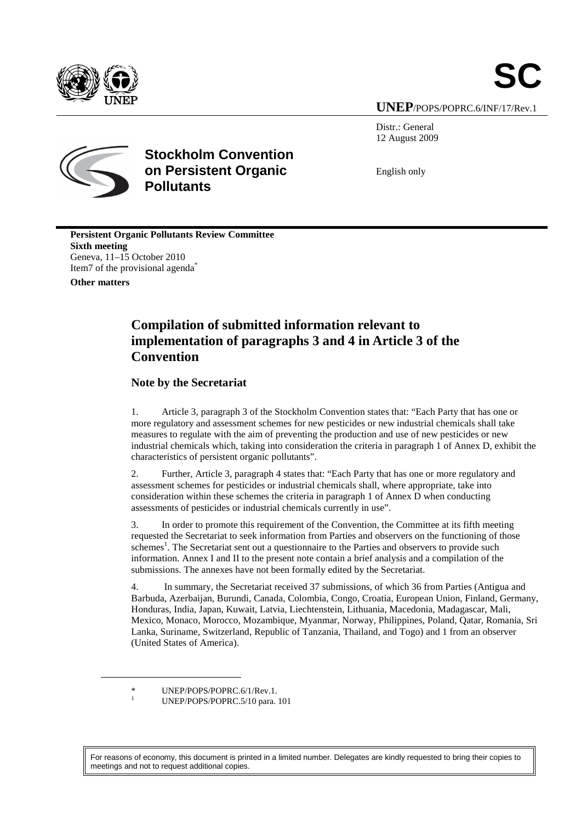

**SC**

**UNEP**/POPS/POPRC.6/INF/17/Rev.1

Distr.: General 12 August 2009



**Stockholm Convention on Persistent Organic Pollutants** 

English only

**Persistent Organic Pollutants Review Committee Sixth meeting**  Geneva, 11–15 October 2010 Item7 of the provisional agenda<sup>\*</sup>

**Other matters** 

 $\overline{a}$ 

1

## **Compilation of submitted information relevant to implementation of paragraphs 3 and 4 in Article 3 of the Convention**

#### **Note by the Secretariat**

1. Article 3, paragraph 3 of the Stockholm Convention states that: "Each Party that has one or more regulatory and assessment schemes for new pesticides or new industrial chemicals shall take measures to regulate with the aim of preventing the production and use of new pesticides or new industrial chemicals which, taking into consideration the criteria in paragraph 1 of Annex D, exhibit the characteristics of persistent organic pollutants".

2. Further, Article 3, paragraph 4 states that: "Each Party that has one or more regulatory and assessment schemes for pesticides or industrial chemicals shall, where appropriate, take into consideration within these schemes the criteria in paragraph 1 of Annex D when conducting assessments of pesticides or industrial chemicals currently in use".

3. In order to promote this requirement of the Convention, the Committee at its fifth meeting requested the Secretariat to seek information from Parties and observers on the functioning of those schemes<sup>1</sup>. The Secretariat sent out a questionnaire to the Parties and observers to provide such information. Annex I and II to the present note contain a brief analysis and a compilation of the submissions. The annexes have not been formally edited by the Secretariat.

4. In summary, the Secretariat received 37 submissions, of which 36 from Parties (Antigua and Barbuda, Azerbaijan, Burundi, Canada, Colombia, Congo, Croatia, European Union, Finland, Germany, Honduras, India, Japan, Kuwait, Latvia, Liechtenstein, Lithuania, Macedonia, Madagascar, Mali, Mexico, Monaco, Morocco, Mozambique, Myanmar, Norway, Philippines, Poland, Qatar, Romania, Sri Lanka, Suriname, Switzerland, Republic of Tanzania, Thailand, and Togo) and 1 from an observer (United States of America).

UNEP/POPS/POPRC.5/10 para. 101

For reasons of economy, this document is printed in a limited number. Delegates are kindly requested to bring their copies to meetings and not to request additional copies.

UNEP/POPS/POPRC.6/1/Rev.1.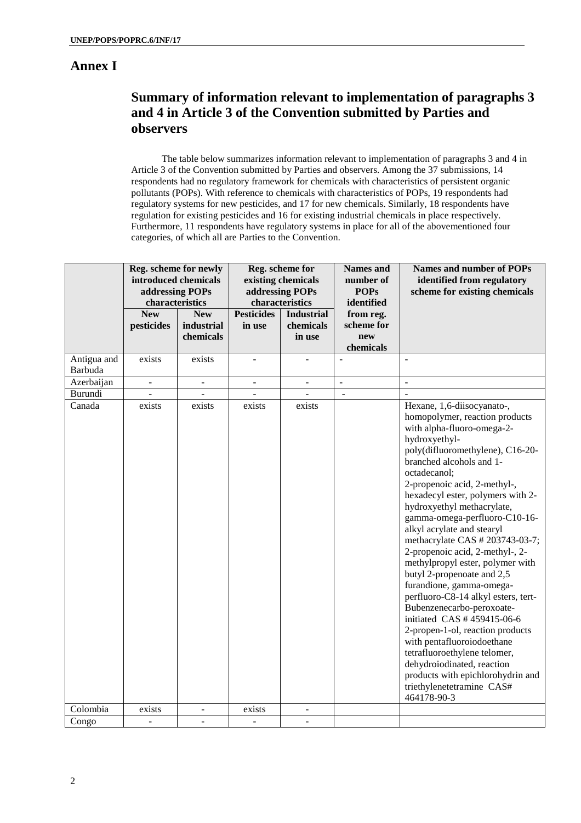### **Annex I**

## **Summary of information relevant to implementation of paragraphs 3 and 4 in Article 3 of the Convention submitted by Parties and observers**

The table below summarizes information relevant to implementation of paragraphs 3 and 4 in Article 3 of the Convention submitted by Parties and observers. Among the 37 submissions, 14 respondents had no regulatory framework for chemicals with characteristics of persistent organic pollutants (POPs). With reference to chemicals with characteristics of POPs, 19 respondents had regulatory systems for new pesticides, and 17 for new chemicals. Similarly, 18 respondents have regulation for existing pesticides and 16 for existing industrial chemicals in place respectively. Furthermore, 11 respondents have regulatory systems in place for all of the abovementioned four categories, of which all are Parties to the Convention.

|                        | Reg. scheme for newly<br>introduced chemicals<br>addressing POPs<br>characteristics |                          | Reg. scheme for<br>existing chemicals<br>addressing POPs<br>characteristics |                                | <b>Names</b> and<br>number of<br><b>POPs</b><br>identified | Names and number of POPs<br>identified from regulatory<br>scheme for existing chemicals                                                                                                                                                                                                                                                                                                                                                                                                                                                                                                                                                                                                                                                                                                                                                              |
|------------------------|-------------------------------------------------------------------------------------|--------------------------|-----------------------------------------------------------------------------|--------------------------------|------------------------------------------------------------|------------------------------------------------------------------------------------------------------------------------------------------------------------------------------------------------------------------------------------------------------------------------------------------------------------------------------------------------------------------------------------------------------------------------------------------------------------------------------------------------------------------------------------------------------------------------------------------------------------------------------------------------------------------------------------------------------------------------------------------------------------------------------------------------------------------------------------------------------|
|                        | <b>New</b><br>pesticides                                                            | <b>New</b><br>industrial | <b>Pesticides</b><br>in use                                                 | <b>Industrial</b><br>chemicals | from reg.<br>scheme for                                    |                                                                                                                                                                                                                                                                                                                                                                                                                                                                                                                                                                                                                                                                                                                                                                                                                                                      |
|                        |                                                                                     | chemicals                |                                                                             | in use                         | new<br>chemicals                                           |                                                                                                                                                                                                                                                                                                                                                                                                                                                                                                                                                                                                                                                                                                                                                                                                                                                      |
| Antigua and<br>Barbuda | exists                                                                              | exists                   | $\overline{a}$                                                              |                                | $\overline{a}$                                             | $\overline{a}$                                                                                                                                                                                                                                                                                                                                                                                                                                                                                                                                                                                                                                                                                                                                                                                                                                       |
| Azerbaijan             | ÷,                                                                                  | $\overline{\phantom{a}}$ | $\blacksquare$                                                              | $\overline{\phantom{a}}$       | $\blacksquare$                                             | $\overline{a}$                                                                                                                                                                                                                                                                                                                                                                                                                                                                                                                                                                                                                                                                                                                                                                                                                                       |
| Burundi                |                                                                                     | $\overline{\phantom{0}}$ |                                                                             |                                | $\blacksquare$                                             |                                                                                                                                                                                                                                                                                                                                                                                                                                                                                                                                                                                                                                                                                                                                                                                                                                                      |
| Canada                 | exists                                                                              | exists                   | exists                                                                      | exists                         |                                                            | Hexane, 1,6-diisocyanato-,<br>homopolymer, reaction products<br>with alpha-fluoro-omega-2-<br>hydroxyethyl-<br>poly(difluoromethylene), C16-20-<br>branched alcohols and 1-<br>octadecanol;<br>2-propenoic acid, 2-methyl-,<br>hexadecyl ester, polymers with 2-<br>hydroxyethyl methacrylate,<br>gamma-omega-perfluoro-C10-16-<br>alkyl acrylate and stearyl<br>methacrylate CAS # 203743-03-7;<br>2-propenoic acid, 2-methyl-, 2-<br>methylpropyl ester, polymer with<br>butyl 2-propenoate and 2,5<br>furandione, gamma-omega-<br>perfluoro-C8-14 alkyl esters, tert-<br>Bubenzenecarbo-peroxoate-<br>initiated CAS #459415-06-6<br>2-propen-1-ol, reaction products<br>with pentafluoroiodoethane<br>tetrafluoroethylene telomer,<br>dehydroiodinated, reaction<br>products with epichlorohydrin and<br>triethylenetetramine CAS#<br>464178-90-3 |
| Colombia               | exists                                                                              | $\overline{\phantom{a}}$ | exists                                                                      |                                |                                                            |                                                                                                                                                                                                                                                                                                                                                                                                                                                                                                                                                                                                                                                                                                                                                                                                                                                      |
| Congo                  | L,                                                                                  | ÷,                       | $\overline{a}$                                                              |                                |                                                            |                                                                                                                                                                                                                                                                                                                                                                                                                                                                                                                                                                                                                                                                                                                                                                                                                                                      |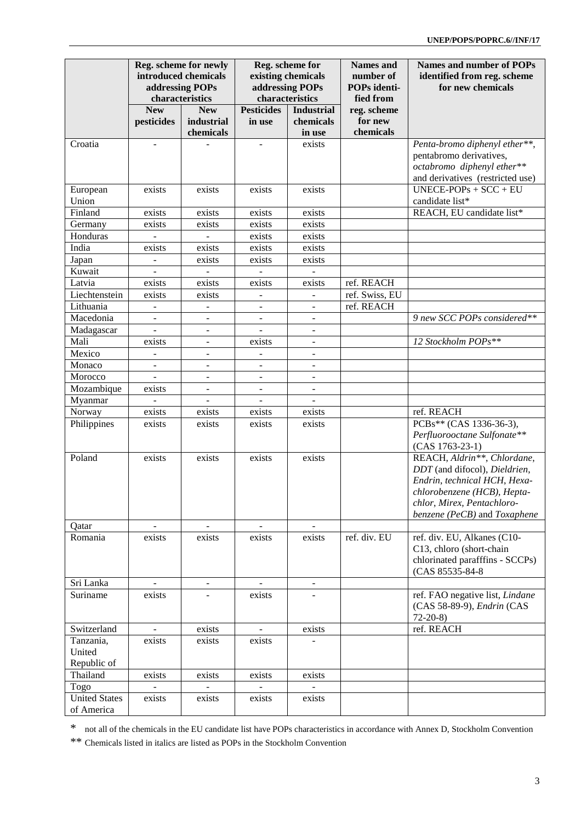|                                    |                              | Reg. scheme for newly<br>introduced chemicals<br>addressing POPs<br>characteristics |                              | Reg. scheme for<br>existing chemicals<br>addressing POPs<br>characteristics | <b>Names</b> and<br>number of<br>POPs identi-<br>fied from | <b>Names and number of POPs</b><br>identified from reg. scheme<br>for new chemicals                                                                                                       |
|------------------------------------|------------------------------|-------------------------------------------------------------------------------------|------------------------------|-----------------------------------------------------------------------------|------------------------------------------------------------|-------------------------------------------------------------------------------------------------------------------------------------------------------------------------------------------|
|                                    | <b>New</b>                   | <b>New</b>                                                                          | <b>Pesticides</b>            | <b>Industrial</b>                                                           | reg. scheme                                                |                                                                                                                                                                                           |
|                                    | pesticides                   | industrial                                                                          | in use                       | chemicals                                                                   | for new                                                    |                                                                                                                                                                                           |
|                                    |                              | chemicals                                                                           |                              | in use                                                                      | chemicals                                                  |                                                                                                                                                                                           |
| Croatia                            |                              |                                                                                     | $\overline{\phantom{a}}$     | exists                                                                      |                                                            | Penta-bromo diphenyl ether**,<br>pentabromo derivatives,<br>octabromo diphenyl ether**<br>and derivatives (restricted use)                                                                |
| European<br>Union                  | exists                       | exists                                                                              | exists                       | exists                                                                      |                                                            | $UNECE-POPs + SCC + EU$<br>candidate list*                                                                                                                                                |
| Finland                            | exists                       | exists                                                                              | exists                       | exists                                                                      |                                                            | REACH, EU candidate list*                                                                                                                                                                 |
| Germany                            | exists                       | exists                                                                              | exists                       | exists                                                                      |                                                            |                                                                                                                                                                                           |
| Honduras                           |                              |                                                                                     | exists                       | exists                                                                      |                                                            |                                                                                                                                                                                           |
| India                              | exists                       | exists                                                                              | exists                       | exists                                                                      |                                                            |                                                                                                                                                                                           |
| Japan                              | $\overline{\phantom{a}}$     | exists                                                                              | exists                       | exists                                                                      |                                                            |                                                                                                                                                                                           |
| Kuwait                             | $\blacksquare$               |                                                                                     |                              |                                                                             |                                                            |                                                                                                                                                                                           |
| Latvia                             | exists                       | exists                                                                              | exists                       | exists                                                                      | ref. REACH                                                 |                                                                                                                                                                                           |
| Liechtenstein                      | exists                       | exists                                                                              |                              |                                                                             | ref. Swiss, EU                                             |                                                                                                                                                                                           |
| Lithuania                          |                              |                                                                                     |                              |                                                                             | ref. REACH                                                 |                                                                                                                                                                                           |
| Macedonia                          | $\overline{\phantom{a}}$     | $\overline{\phantom{a}}$                                                            |                              | $\overline{\phantom{a}}$                                                    |                                                            |                                                                                                                                                                                           |
|                                    |                              | $\qquad \qquad \blacksquare$                                                        | $\overline{\phantom{a}}$     | $\blacksquare$                                                              |                                                            | 9 new SCC POPs considered**                                                                                                                                                               |
| Madagascar                         | $\blacksquare$               | $\blacksquare$                                                                      | $\overline{\phantom{a}}$     | $\blacksquare$                                                              |                                                            |                                                                                                                                                                                           |
| Mali                               | exists                       | $\overline{\phantom{a}}$                                                            | exists                       | $\overline{\phantom{a}}$                                                    |                                                            | 12 Stockholm POPs**                                                                                                                                                                       |
| Mexico                             | $\qquad \qquad \blacksquare$ |                                                                                     | $\overline{\phantom{a}}$     | $\overline{\phantom{a}}$                                                    |                                                            |                                                                                                                                                                                           |
| Monaco                             | $\overline{\phantom{a}}$     | $\overline{\phantom{a}}$                                                            | $\overline{\phantom{a}}$     | $\blacksquare$                                                              |                                                            |                                                                                                                                                                                           |
| Morocco                            | $\blacksquare$               | $\blacksquare$                                                                      | $\overline{\phantom{a}}$     | $\blacksquare$                                                              |                                                            |                                                                                                                                                                                           |
| Mozambique                         | exists                       | $\blacksquare$                                                                      | $\overline{\phantom{a}}$     | $\blacksquare$                                                              |                                                            |                                                                                                                                                                                           |
| Myanmar                            | $\overline{a}$               | $\qquad \qquad \blacksquare$                                                        | $\overline{\phantom{a}}$     |                                                                             |                                                            |                                                                                                                                                                                           |
| Norway                             | exists                       | exists                                                                              | exists                       | exists                                                                      |                                                            | ref. REACH                                                                                                                                                                                |
| Philippines                        | exists                       | exists                                                                              | exists                       | exists                                                                      |                                                            | PCBs** (CAS 1336-36-3),<br>Perfluorooctane Sulfonate**<br>$(CAS 1763-23-1)$                                                                                                               |
| Poland                             | exists                       | exists                                                                              | exists                       | exists                                                                      |                                                            | REACH, Aldrin**, Chlordane,<br>DDT (and difocol), Dieldrien,<br>Endrin, technical HCH, Hexa-<br>chlorobenzene (HCB), Hepta-<br>chlor, Mirex, Pentachloro-<br>benzene (PeCB) and Toxaphene |
| Qatar                              | $\overline{\phantom{a}}$     | $\blacksquare$                                                                      | $\blacksquare$               |                                                                             |                                                            |                                                                                                                                                                                           |
| Romania                            | exists                       | exists                                                                              | exists                       | exists                                                                      | ref. div. EU                                               | ref. div. EU, Alkanes (C10-<br>C13, chloro (short-chain<br>chlorinated parafffins - SCCPs)<br>(CAS 85535-84-8)                                                                            |
| Sri Lanka                          |                              | $\overline{\phantom{a}}$                                                            | $\qquad \qquad \blacksquare$ | $\blacksquare$                                                              |                                                            |                                                                                                                                                                                           |
| Suriname                           | exists                       |                                                                                     | exists                       |                                                                             |                                                            | ref. FAO negative list, Lindane<br>(CAS 58-89-9), Endrin (CAS<br>$72-20-8$                                                                                                                |
| Switzerland                        |                              | exists                                                                              |                              | exists                                                                      |                                                            | ref. REACH                                                                                                                                                                                |
| Tanzania,<br>United<br>Republic of | exists                       | exists                                                                              | exists                       |                                                                             |                                                            |                                                                                                                                                                                           |
| Thailand                           | exists                       | exists                                                                              | exists                       | exists                                                                      |                                                            |                                                                                                                                                                                           |
| Togo                               |                              |                                                                                     |                              |                                                                             |                                                            |                                                                                                                                                                                           |
| <b>United States</b><br>of America | exists                       | exists                                                                              | exists                       | exists                                                                      |                                                            |                                                                                                                                                                                           |

\* not all of the chemicals in the EU candidate list have POPs characteristics in accordance with Annex D, Stockholm Convention

\*\* Chemicals listed in italics are listed as POPs in the Stockholm Convention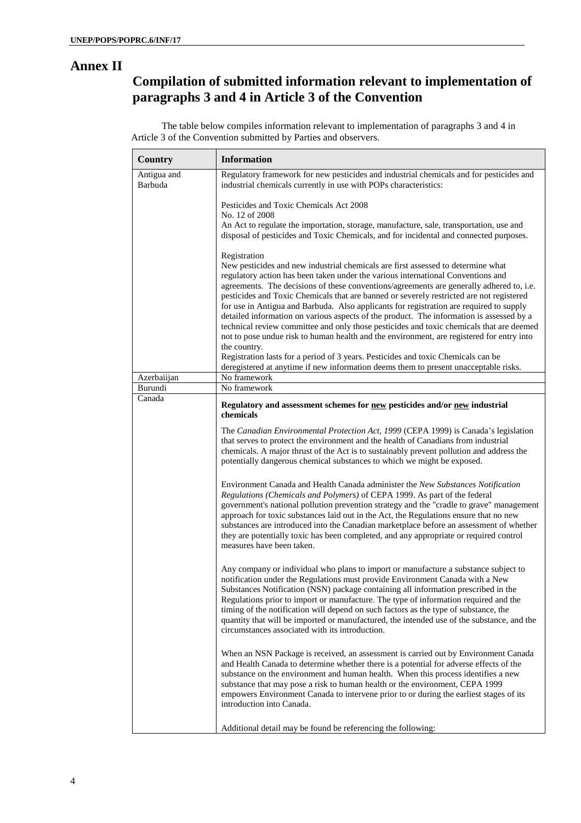#### **Annex II**

# **Compilation of submitted information relevant to implementation of paragraphs 3 and 4 in Article 3 of the Convention**

The table below compiles information relevant to implementation of paragraphs 3 and 4 in Article 3 of the Convention submitted by Parties and observers.

| <b>Country</b>         | <b>Information</b>                                                                                                                                                                                                                                                                                                                                                                                                                                                                                                                                                                                                                                                                                                                                                                                                                                                |
|------------------------|-------------------------------------------------------------------------------------------------------------------------------------------------------------------------------------------------------------------------------------------------------------------------------------------------------------------------------------------------------------------------------------------------------------------------------------------------------------------------------------------------------------------------------------------------------------------------------------------------------------------------------------------------------------------------------------------------------------------------------------------------------------------------------------------------------------------------------------------------------------------|
| Antigua and<br>Barbuda | Regulatory framework for new pesticides and industrial chemicals and for pesticides and<br>industrial chemicals currently in use with POPs characteristics:                                                                                                                                                                                                                                                                                                                                                                                                                                                                                                                                                                                                                                                                                                       |
|                        | Pesticides and Toxic Chemicals Act 2008<br>No. 12 of 2008<br>An Act to regulate the importation, storage, manufacture, sale, transportation, use and<br>disposal of pesticides and Toxic Chemicals, and for incidental and connected purposes.                                                                                                                                                                                                                                                                                                                                                                                                                                                                                                                                                                                                                    |
|                        | Registration<br>New pesticides and new industrial chemicals are first assessed to determine what<br>regulatory action has been taken under the various international Conventions and<br>agreements. The decisions of these conventions/agreements are generally adhered to, i.e.<br>pesticides and Toxic Chemicals that are banned or severely restricted are not registered<br>for use in Antigua and Barbuda. Also applicants for registration are required to supply<br>detailed information on various aspects of the product. The information is assessed by a<br>technical review committee and only those pesticides and toxic chemicals that are deemed<br>not to pose undue risk to human health and the environment, are registered for entry into<br>the country.<br>Registration lasts for a period of 3 years. Pesticides and toxic Chemicals can be |
|                        | deregistered at anytime if new information deems them to present unacceptable risks.                                                                                                                                                                                                                                                                                                                                                                                                                                                                                                                                                                                                                                                                                                                                                                              |
| Azerbaiijan<br>Burundi | No framework<br>No framework                                                                                                                                                                                                                                                                                                                                                                                                                                                                                                                                                                                                                                                                                                                                                                                                                                      |
| Canada                 |                                                                                                                                                                                                                                                                                                                                                                                                                                                                                                                                                                                                                                                                                                                                                                                                                                                                   |
|                        | Regulatory and assessment schemes for new pesticides and/or new industrial<br>chemicals                                                                                                                                                                                                                                                                                                                                                                                                                                                                                                                                                                                                                                                                                                                                                                           |
|                        | The Canadian Environmental Protection Act, 1999 (CEPA 1999) is Canada's legislation<br>that serves to protect the environment and the health of Canadians from industrial<br>chemicals. A major thrust of the Act is to sustainably prevent pollution and address the<br>potentially dangerous chemical substances to which we might be exposed.                                                                                                                                                                                                                                                                                                                                                                                                                                                                                                                  |
|                        | Environment Canada and Health Canada administer the New Substances Notification<br>Regulations (Chemicals and Polymers) of CEPA 1999. As part of the federal<br>government's national pollution prevention strategy and the "cradle to grave" management<br>approach for toxic substances laid out in the Act, the Regulations ensure that no new<br>substances are introduced into the Canadian marketplace before an assessment of whether<br>they are potentially toxic has been completed, and any appropriate or required control<br>measures have been taken.                                                                                                                                                                                                                                                                                               |
|                        | Any company or individual who plans to import or manufacture a substance subject to<br>notification under the Regulations must provide Environment Canada with a New<br>Substances Notification (NSN) package containing all information prescribed in the<br>Regulations prior to import or manufacture. The type of information required and the<br>timing of the notification will depend on such factors as the type of substance, the<br>quantity that will be imported or manufactured, the intended use of the substance, and the<br>circumstances associated with its introduction.                                                                                                                                                                                                                                                                       |
|                        | When an NSN Package is received, an assessment is carried out by Environment Canada<br>and Health Canada to determine whether there is a potential for adverse effects of the<br>substance on the environment and human health. When this process identifies a new<br>substance that may pose a risk to human health or the environment, CEPA 1999<br>empowers Environment Canada to intervene prior to or during the earliest stages of its<br>introduction into Canada.                                                                                                                                                                                                                                                                                                                                                                                         |
|                        | Additional detail may be found be referencing the following:                                                                                                                                                                                                                                                                                                                                                                                                                                                                                                                                                                                                                                                                                                                                                                                                      |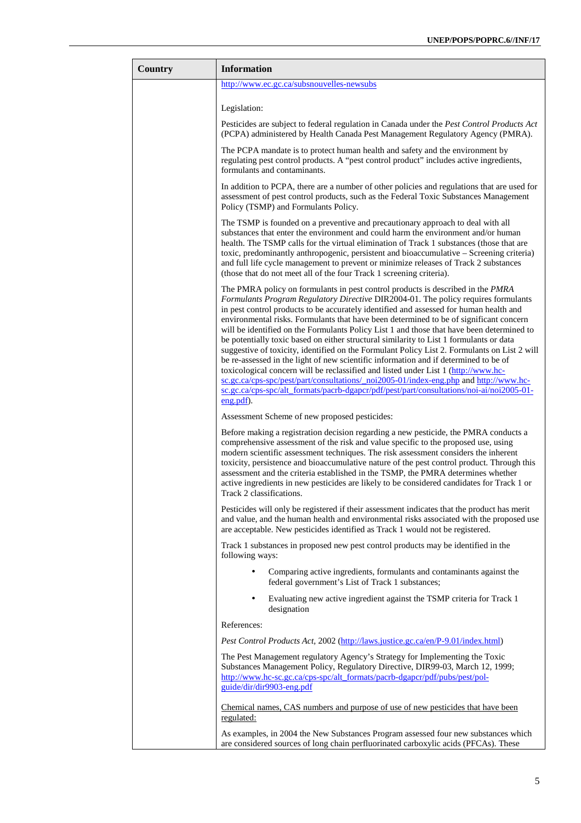| Country | <b>Information</b>                                                                                                                                                                                                                                                                                                                                                                                                                                                                                                                                                                                                                                                                                                                                                                                                                                                                                                                                                                                                                  |
|---------|-------------------------------------------------------------------------------------------------------------------------------------------------------------------------------------------------------------------------------------------------------------------------------------------------------------------------------------------------------------------------------------------------------------------------------------------------------------------------------------------------------------------------------------------------------------------------------------------------------------------------------------------------------------------------------------------------------------------------------------------------------------------------------------------------------------------------------------------------------------------------------------------------------------------------------------------------------------------------------------------------------------------------------------|
|         | http://www.ec.gc.ca/subsnouvelles-newsubs                                                                                                                                                                                                                                                                                                                                                                                                                                                                                                                                                                                                                                                                                                                                                                                                                                                                                                                                                                                           |
|         | Legislation:                                                                                                                                                                                                                                                                                                                                                                                                                                                                                                                                                                                                                                                                                                                                                                                                                                                                                                                                                                                                                        |
|         | Pesticides are subject to federal regulation in Canada under the Pest Control Products Act<br>(PCPA) administered by Health Canada Pest Management Regulatory Agency (PMRA).                                                                                                                                                                                                                                                                                                                                                                                                                                                                                                                                                                                                                                                                                                                                                                                                                                                        |
|         | The PCPA mandate is to protect human health and safety and the environment by<br>regulating pest control products. A "pest control product" includes active ingredients,<br>formulants and contaminants.                                                                                                                                                                                                                                                                                                                                                                                                                                                                                                                                                                                                                                                                                                                                                                                                                            |
|         | In addition to PCPA, there are a number of other policies and regulations that are used for<br>assessment of pest control products, such as the Federal Toxic Substances Management<br>Policy (TSMP) and Formulants Policy.                                                                                                                                                                                                                                                                                                                                                                                                                                                                                                                                                                                                                                                                                                                                                                                                         |
|         | The TSMP is founded on a preventive and precautionary approach to deal with all<br>substances that enter the environment and could harm the environment and/or human<br>health. The TSMP calls for the virtual elimination of Track 1 substances (those that are<br>toxic, predominantly anthropogenic, persistent and bioaccumulative - Screening criteria)<br>and full life cycle management to prevent or minimize releases of Track 2 substances<br>(those that do not meet all of the four Track 1 screening criteria).                                                                                                                                                                                                                                                                                                                                                                                                                                                                                                        |
|         | The PMRA policy on formulants in pest control products is described in the PMRA<br>Formulants Program Regulatory Directive DIR2004-01. The policy requires formulants<br>in pest control products to be accurately identified and assessed for human health and<br>environmental risks. Formulants that have been determined to be of significant concern<br>will be identified on the Formulants Policy List 1 and those that have been determined to<br>be potentially toxic based on either structural similarity to List 1 formulants or data<br>suggestive of toxicity, identified on the Formulant Policy List 2. Formulants on List 2 will<br>be re-assessed in the light of new scientific information and if determined to be of<br>toxicological concern will be reclassified and listed under List 1 (http://www.hc-<br>sc.gc.ca/cps-spc/pest/part/consultations/ noi2005-01/index-eng.php and http://www.hc-<br>sc.gc.ca/cps-spc/alt_formats/pacrb-dgapcr/pdf/pest/part/consultations/noi-ai/noi2005-01-<br>$eng.pdf$ . |
|         | Assessment Scheme of new proposed pesticides:                                                                                                                                                                                                                                                                                                                                                                                                                                                                                                                                                                                                                                                                                                                                                                                                                                                                                                                                                                                       |
|         | Before making a registration decision regarding a new pesticide, the PMRA conducts a<br>comprehensive assessment of the risk and value specific to the proposed use, using<br>modern scientific assessment techniques. The risk assessment considers the inherent<br>toxicity, persistence and bioaccumulative nature of the pest control product. Through this<br>assessment and the criteria established in the TSMP, the PMRA determines whether<br>active ingredients in new pesticides are likely to be considered candidates for Track 1 or<br>Track 2 classifications.                                                                                                                                                                                                                                                                                                                                                                                                                                                       |
|         | Pesticides will only be registered if their assessment indicates that the product has merit<br>and value, and the human health and environmental risks associated with the proposed use<br>are acceptable. New pesticides identified as Track 1 would not be registered.                                                                                                                                                                                                                                                                                                                                                                                                                                                                                                                                                                                                                                                                                                                                                            |
|         | Track 1 substances in proposed new pest control products may be identified in the<br>following ways:                                                                                                                                                                                                                                                                                                                                                                                                                                                                                                                                                                                                                                                                                                                                                                                                                                                                                                                                |
|         | Comparing active ingredients, formulants and contaminants against the<br>$\bullet$<br>federal government's List of Track 1 substances;                                                                                                                                                                                                                                                                                                                                                                                                                                                                                                                                                                                                                                                                                                                                                                                                                                                                                              |
|         | Evaluating new active ingredient against the TSMP criteria for Track 1<br>$\bullet$<br>designation                                                                                                                                                                                                                                                                                                                                                                                                                                                                                                                                                                                                                                                                                                                                                                                                                                                                                                                                  |
|         | References:                                                                                                                                                                                                                                                                                                                                                                                                                                                                                                                                                                                                                                                                                                                                                                                                                                                                                                                                                                                                                         |
|         | Pest Control Products Act, 2002 (http://laws.justice.gc.ca/en/P-9.01/index.html)                                                                                                                                                                                                                                                                                                                                                                                                                                                                                                                                                                                                                                                                                                                                                                                                                                                                                                                                                    |
|         | The Pest Management regulatory Agency's Strategy for Implementing the Toxic<br>Substances Management Policy, Regulatory Directive, DIR99-03, March 12, 1999;<br>http://www.hc-sc.gc.ca/cps-spc/alt_formats/pacrb-dgapcr/pdf/pubs/pest/pol-<br>guide/dir/dir9903-eng.pdf                                                                                                                                                                                                                                                                                                                                                                                                                                                                                                                                                                                                                                                                                                                                                             |
|         | Chemical names, CAS numbers and purpose of use of new pesticides that have been<br>regulated:                                                                                                                                                                                                                                                                                                                                                                                                                                                                                                                                                                                                                                                                                                                                                                                                                                                                                                                                       |
|         | As examples, in 2004 the New Substances Program assessed four new substances which<br>are considered sources of long chain perfluorinated carboxylic acids (PFCAs). These                                                                                                                                                                                                                                                                                                                                                                                                                                                                                                                                                                                                                                                                                                                                                                                                                                                           |

ł.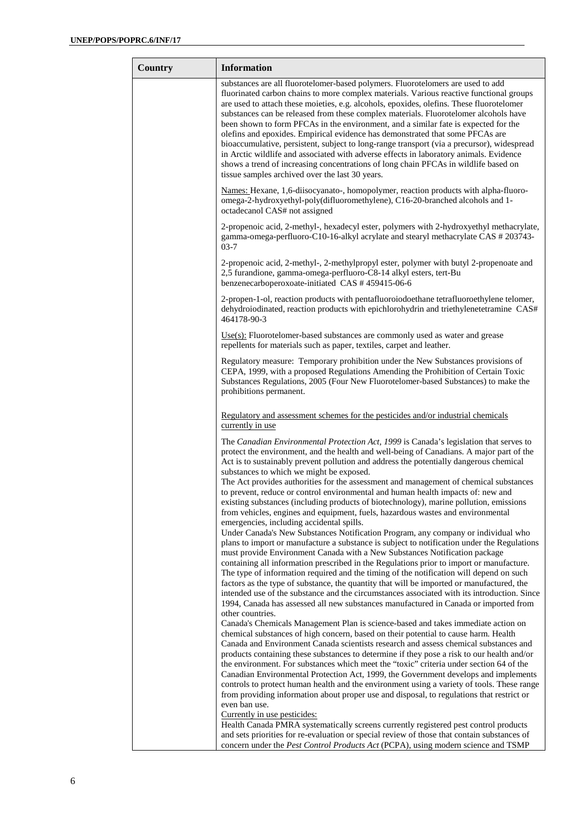÷

| Country | <b>Information</b>                                                                                                                                                                                                                                                                                                                                                                                                                                                                                                                                                                                                                                                                                                                                                                                                                                                                                                                                                                                                                                                                                                                                                                                                                                                                                                                                                                                              |
|---------|-----------------------------------------------------------------------------------------------------------------------------------------------------------------------------------------------------------------------------------------------------------------------------------------------------------------------------------------------------------------------------------------------------------------------------------------------------------------------------------------------------------------------------------------------------------------------------------------------------------------------------------------------------------------------------------------------------------------------------------------------------------------------------------------------------------------------------------------------------------------------------------------------------------------------------------------------------------------------------------------------------------------------------------------------------------------------------------------------------------------------------------------------------------------------------------------------------------------------------------------------------------------------------------------------------------------------------------------------------------------------------------------------------------------|
|         | substances are all fluorotelomer-based polymers. Fluorotelomers are used to add<br>fluorinated carbon chains to more complex materials. Various reactive functional groups<br>are used to attach these moieties, e.g. alcohols, epoxides, olefins. These fluorotelomer<br>substances can be released from these complex materials. Fluorotelomer alcohols have<br>been shown to form PFCAs in the environment, and a similar fate is expected for the<br>olefins and epoxides. Empirical evidence has demonstrated that some PFCAs are<br>bioaccumulative, persistent, subject to long-range transport (via a precursor), widespread<br>in Arctic wildlife and associated with adverse effects in laboratory animals. Evidence<br>shows a trend of increasing concentrations of long chain PFCAs in wildlife based on<br>tissue samples archived over the last 30 years.                                                                                                                                                                                                                                                                                                                                                                                                                                                                                                                                        |
|         | Names: Hexane, 1,6-diisocyanato-, homopolymer, reaction products with alpha-fluoro-<br>omega-2-hydroxyethyl-poly(difluoromethylene), C16-20-branched alcohols and 1-<br>octadecanol CAS# not assigned                                                                                                                                                                                                                                                                                                                                                                                                                                                                                                                                                                                                                                                                                                                                                                                                                                                                                                                                                                                                                                                                                                                                                                                                           |
|         | 2-propenoic acid, 2-methyl-, hexadecyl ester, polymers with 2-hydroxyethyl methacrylate,<br>gamma-omega-perfluoro-C10-16-alkyl acrylate and stearyl methacrylate CAS # 203743-<br>$03-7$                                                                                                                                                                                                                                                                                                                                                                                                                                                                                                                                                                                                                                                                                                                                                                                                                                                                                                                                                                                                                                                                                                                                                                                                                        |
|         | 2-propenoic acid, 2-methyl-, 2-methylpropyl ester, polymer with butyl 2-propenoate and<br>2,5 furandione, gamma-omega-perfluoro-C8-14 alkyl esters, tert-Bu<br>benzenecarboperoxoate-initiated CAS #459415-06-6                                                                                                                                                                                                                                                                                                                                                                                                                                                                                                                                                                                                                                                                                                                                                                                                                                                                                                                                                                                                                                                                                                                                                                                                 |
|         | 2-propen-1-ol, reaction products with pentafluoroiodoethane tetrafluoroethylene telomer,<br>dehydroiodinated, reaction products with epichlorohydrin and triethylenetetramine CAS#<br>464178-90-3                                                                                                                                                                                                                                                                                                                                                                                                                                                                                                                                                                                                                                                                                                                                                                                                                                                                                                                                                                                                                                                                                                                                                                                                               |
|         | $Use(s)$ : Fluorotelomer-based substances are commonly used as water and grease<br>repellents for materials such as paper, textiles, carpet and leather.                                                                                                                                                                                                                                                                                                                                                                                                                                                                                                                                                                                                                                                                                                                                                                                                                                                                                                                                                                                                                                                                                                                                                                                                                                                        |
|         | Regulatory measure: Temporary prohibition under the New Substances provisions of<br>CEPA, 1999, with a proposed Regulations Amending the Prohibition of Certain Toxic<br>Substances Regulations, 2005 (Four New Fluorotelomer-based Substances) to make the<br>prohibitions permanent.                                                                                                                                                                                                                                                                                                                                                                                                                                                                                                                                                                                                                                                                                                                                                                                                                                                                                                                                                                                                                                                                                                                          |
|         | Regulatory and assessment schemes for the pesticides and/or industrial chemicals<br>currently in use                                                                                                                                                                                                                                                                                                                                                                                                                                                                                                                                                                                                                                                                                                                                                                                                                                                                                                                                                                                                                                                                                                                                                                                                                                                                                                            |
|         | The Canadian Environmental Protection Act, 1999 is Canada's legislation that serves to<br>protect the environment, and the health and well-being of Canadians. A major part of the<br>Act is to sustainably prevent pollution and address the potentially dangerous chemical<br>substances to which we might be exposed.<br>The Act provides authorities for the assessment and management of chemical substances<br>to prevent, reduce or control environmental and human health impacts of: new and<br>existing substances (including products of biotechnology), marine pollution, emissions<br>from vehicles, engines and equipment, fuels, hazardous wastes and environmental<br>emergencies, including accidental spills.                                                                                                                                                                                                                                                                                                                                                                                                                                                                                                                                                                                                                                                                                 |
|         | Under Canada's New Substances Notification Program, any company or individual who<br>plans to import or manufacture a substance is subject to notification under the Regulations<br>must provide Environment Canada with a New Substances Notification package<br>containing all information prescribed in the Regulations prior to import or manufacture.<br>The type of information required and the timing of the notification will depend on such<br>factors as the type of substance, the quantity that will be imported or manufactured, the<br>intended use of the substance and the circumstances associated with its introduction. Since<br>1994, Canada has assessed all new substances manufactured in Canada or imported from<br>other countries.<br>Canada's Chemicals Management Plan is science-based and takes immediate action on<br>chemical substances of high concern, based on their potential to cause harm. Health<br>Canada and Environment Canada scientists research and assess chemical substances and<br>products containing these substances to determine if they pose a risk to our health and/or<br>the environment. For substances which meet the "toxic" criteria under section 64 of the<br>Canadian Environmental Protection Act, 1999, the Government develops and implements<br>controls to protect human health and the environment using a variety of tools. These range |
|         | from providing information about proper use and disposal, to regulations that restrict or<br>even ban use.<br>Currently in use pesticides:<br>Health Canada PMRA systematically screens currently registered pest control products<br>and sets priorities for re-evaluation or special review of those that contain substances of<br>concern under the Pest Control Products Act (PCPA), using modern science and TSMP                                                                                                                                                                                                                                                                                                                                                                                                                                                                                                                                                                                                                                                                                                                                                                                                                                                                                                                                                                                          |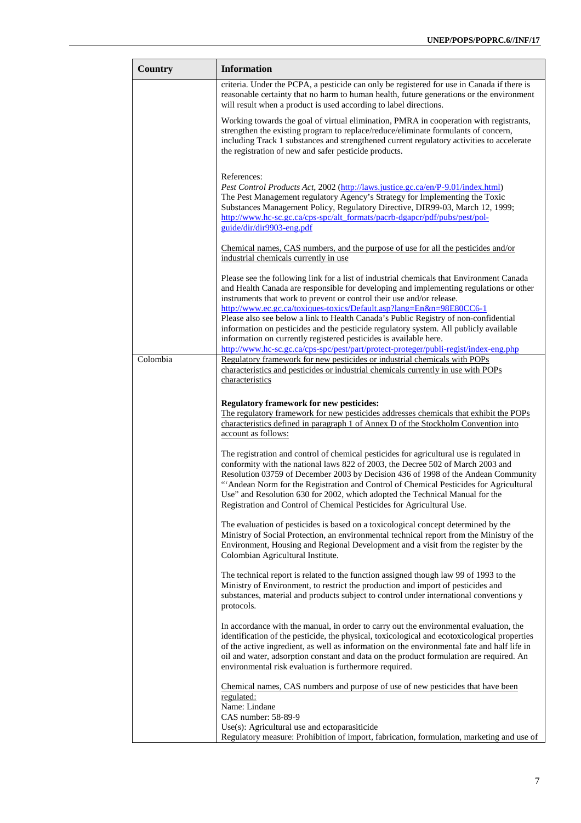| <b>Country</b> | <b>Information</b>                                                                                                                                                                                                                                                                                                                                                                                                                                                                                                                                                                                                                                                               |
|----------------|----------------------------------------------------------------------------------------------------------------------------------------------------------------------------------------------------------------------------------------------------------------------------------------------------------------------------------------------------------------------------------------------------------------------------------------------------------------------------------------------------------------------------------------------------------------------------------------------------------------------------------------------------------------------------------|
|                | criteria. Under the PCPA, a pesticide can only be registered for use in Canada if there is<br>reasonable certainty that no harm to human health, future generations or the environment<br>will result when a product is used according to label directions.                                                                                                                                                                                                                                                                                                                                                                                                                      |
|                | Working towards the goal of virtual elimination, PMRA in cooperation with registrants,<br>strengthen the existing program to replace/reduce/eliminate formulants of concern,<br>including Track 1 substances and strengthened current regulatory activities to accelerate<br>the registration of new and safer pesticide products.                                                                                                                                                                                                                                                                                                                                               |
|                | References:<br>Pest Control Products Act, 2002 (http://laws.justice.gc.ca/en/P-9.01/index.html)<br>The Pest Management regulatory Agency's Strategy for Implementing the Toxic<br>Substances Management Policy, Regulatory Directive, DIR99-03, March 12, 1999;<br>http://www.hc-sc.gc.ca/cps-spc/alt_formats/pacrb-dgapcr/pdf/pubs/pest/pol-<br>guide/dir/dir9903-eng.pdf                                                                                                                                                                                                                                                                                                       |
|                | Chemical names, CAS numbers, and the purpose of use for all the pesticides and/or<br>industrial chemicals currently in use                                                                                                                                                                                                                                                                                                                                                                                                                                                                                                                                                       |
|                | Please see the following link for a list of industrial chemicals that Environment Canada<br>and Health Canada are responsible for developing and implementing regulations or other<br>instruments that work to prevent or control their use and/or release.<br>http://www.ec.gc.ca/toxiques-toxics/Default.asp?lang=En&n=98E80CC6-1<br>Please also see below a link to Health Canada's Public Registry of non-confidential<br>information on pesticides and the pesticide regulatory system. All publicly available<br>information on currently registered pesticides is available here.<br>http://www.hc-sc.gc.ca/cps-spc/pest/part/protect-proteger/publi-regist/index-eng.php |
| Colombia       | Regulatory framework for new pesticides or industrial chemicals with POPs<br>characteristics and pesticides or industrial chemicals currently in use with POPs                                                                                                                                                                                                                                                                                                                                                                                                                                                                                                                   |
|                | characteristics                                                                                                                                                                                                                                                                                                                                                                                                                                                                                                                                                                                                                                                                  |
|                | <b>Regulatory framework for new pesticides:</b><br>The regulatory framework for new pesticides addresses chemicals that exhibit the POPs<br>characteristics defined in paragraph 1 of Annex D of the Stockholm Convention into<br>account as follows:<br>The registration and control of chemical pesticides for agricultural use is regulated in<br>conformity with the national laws 822 of 2003, the Decree 502 of March 2003 and<br>Resolution 03759 of December 2003 by Decision 436 of 1998 of the Andean Community<br>"Andean Norm for the Registration and Control of Chemical Pesticides for Agricultural                                                               |
|                | Use" and Resolution 630 for 2002, which adopted the Technical Manual for the<br>Registration and Control of Chemical Pesticides for Agricultural Use.                                                                                                                                                                                                                                                                                                                                                                                                                                                                                                                            |
|                | The evaluation of pesticides is based on a toxicological concept determined by the<br>Ministry of Social Protection, an environmental technical report from the Ministry of the<br>Environment, Housing and Regional Development and a visit from the register by the<br>Colombian Agricultural Institute.                                                                                                                                                                                                                                                                                                                                                                       |
|                | The technical report is related to the function assigned though law 99 of 1993 to the<br>Ministry of Environment, to restrict the production and import of pesticides and<br>substances, material and products subject to control under international conventions y<br>protocols.                                                                                                                                                                                                                                                                                                                                                                                                |
|                | In accordance with the manual, in order to carry out the environmental evaluation, the<br>identification of the pesticide, the physical, toxicological and ecotoxicological properties<br>of the active ingredient, as well as information on the environmental fate and half life in<br>oil and water, adsorption constant and data on the product formulation are required. An<br>environmental risk evaluation is furthermore required.                                                                                                                                                                                                                                       |
|                | Chemical names, CAS numbers and purpose of use of new pesticides that have been<br>regulated:<br>Name: Lindane                                                                                                                                                                                                                                                                                                                                                                                                                                                                                                                                                                   |
|                | CAS number: 58-89-9<br>Use(s): Agricultural use and ectoparasiticide                                                                                                                                                                                                                                                                                                                                                                                                                                                                                                                                                                                                             |
|                | Regulatory measure: Prohibition of import, fabrication, formulation, marketing and use of                                                                                                                                                                                                                                                                                                                                                                                                                                                                                                                                                                                        |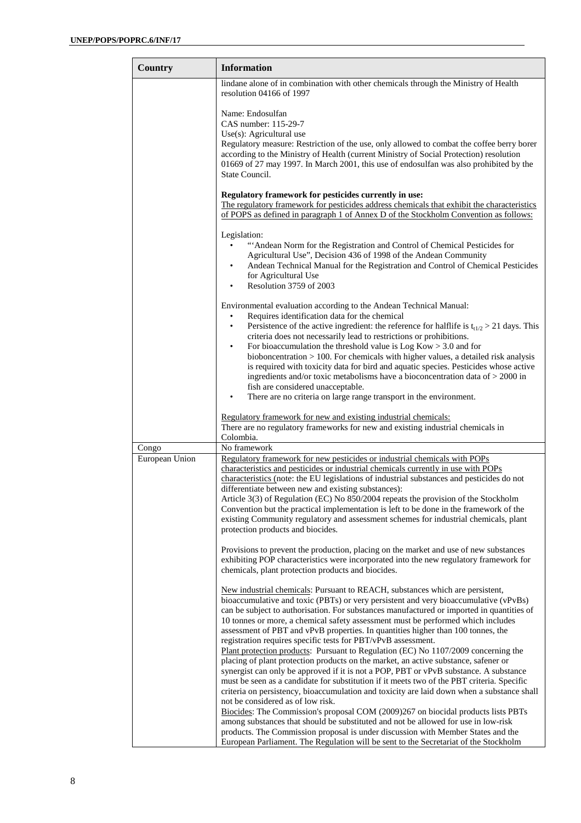| Country        | <b>Information</b>                                                                                                                                                                                                                                                                                                                                                                                                                                                                                                                                                                                                                                                                                                                                                                                                                                                                                                                                                                                                 |
|----------------|--------------------------------------------------------------------------------------------------------------------------------------------------------------------------------------------------------------------------------------------------------------------------------------------------------------------------------------------------------------------------------------------------------------------------------------------------------------------------------------------------------------------------------------------------------------------------------------------------------------------------------------------------------------------------------------------------------------------------------------------------------------------------------------------------------------------------------------------------------------------------------------------------------------------------------------------------------------------------------------------------------------------|
|                | lindane alone of in combination with other chemicals through the Ministry of Health<br>resolution 04166 of 1997                                                                                                                                                                                                                                                                                                                                                                                                                                                                                                                                                                                                                                                                                                                                                                                                                                                                                                    |
|                | Name: Endosulfan<br>CAS number: 115-29-7<br>Use $(s)$ : Agricultural use<br>Regulatory measure: Restriction of the use, only allowed to combat the coffee berry borer<br>according to the Ministry of Health (current Ministry of Social Protection) resolution<br>01669 of 27 may 1997. In March 2001, this use of endosulfan was also prohibited by the<br>State Council.                                                                                                                                                                                                                                                                                                                                                                                                                                                                                                                                                                                                                                        |
|                | Regulatory framework for pesticides currently in use:<br>The regulatory framework for pesticides address chemicals that exhibit the characteristics<br>of POPS as defined in paragraph 1 of Annex D of the Stockholm Convention as follows:                                                                                                                                                                                                                                                                                                                                                                                                                                                                                                                                                                                                                                                                                                                                                                        |
|                | Legislation:<br>"Andean Norm for the Registration and Control of Chemical Pesticides for<br>Agricultural Use", Decision 436 of 1998 of the Andean Community<br>Andean Technical Manual for the Registration and Control of Chemical Pesticides<br>for Agricultural Use<br>Resolution 3759 of 2003                                                                                                                                                                                                                                                                                                                                                                                                                                                                                                                                                                                                                                                                                                                  |
|                | Environmental evaluation according to the Andean Technical Manual:<br>Requires identification data for the chemical<br>$\bullet$<br>Persistence of the active ingredient: the reference for halflife is $t_{t1/2} > 21$ days. This<br>$\bullet$<br>criteria does not necessarily lead to restrictions or prohibitions.<br>For bioaccumulation the threshold value is $Log Kow > 3.0$ and for<br>bioboncentration $> 100$ . For chemicals with higher values, a detailed risk analysis<br>is required with toxicity data for bird and aquatic species. Pesticides whose active<br>ingredients and/or toxic metabolisms have a bioconcentration data of $>$ 2000 in<br>fish are considered unacceptable.<br>There are no criteria on large range transport in the environment.<br>$\bullet$                                                                                                                                                                                                                          |
|                | Regulatory framework for new and existing industrial chemicals:<br>There are no regulatory frameworks for new and existing industrial chemicals in<br>Colombia.                                                                                                                                                                                                                                                                                                                                                                                                                                                                                                                                                                                                                                                                                                                                                                                                                                                    |
| Congo          | No framework                                                                                                                                                                                                                                                                                                                                                                                                                                                                                                                                                                                                                                                                                                                                                                                                                                                                                                                                                                                                       |
| European Union | Regulatory framework for new pesticides or industrial chemicals with POPs<br>characteristics and pesticides or industrial chemicals currently in use with POPs<br>characteristics (note: the EU legislations of industrial substances and pesticides do not<br>differentiate between new and existing substances):<br>Article $3(3)$ of Regulation (EC) No $850/2004$ repeats the provision of the Stockholm<br>Convention but the practical implementation is left to be done in the framework of the<br>existing Community regulatory and assessment schemes for industrial chemicals, plant<br>protection products and biocides.                                                                                                                                                                                                                                                                                                                                                                                |
|                | Provisions to prevent the production, placing on the market and use of new substances<br>exhibiting POP characteristics were incorporated into the new regulatory framework for<br>chemicals, plant protection products and biocides.                                                                                                                                                                                                                                                                                                                                                                                                                                                                                                                                                                                                                                                                                                                                                                              |
|                | New industrial chemicals: Pursuant to REACH, substances which are persistent,<br>bioaccumulative and toxic (PBTs) or very persistent and very bioaccumulative (vPvBs)<br>can be subject to authorisation. For substances manufactured or imported in quantities of<br>10 tonnes or more, a chemical safety assessment must be performed which includes<br>assessment of PBT and vPvB properties. In quantities higher than 100 tonnes, the<br>registration requires specific tests for PBT/vPvB assessment.<br>Plant protection products: Pursuant to Regulation (EC) No 1107/2009 concerning the<br>placing of plant protection products on the market, an active substance, safener or<br>synergist can only be approved if it is not a POP, PBT or vPvB substance. A substance<br>must be seen as a candidate for substitution if it meets two of the PBT criteria. Specific<br>criteria on persistency, bioaccumulation and toxicity are laid down when a substance shall<br>not be considered as of low risk. |
|                | Biocides: The Commission's proposal COM (2009)267 on biocidal products lists PBTs<br>among substances that should be substituted and not be allowed for use in low-risk<br>products. The Commission proposal is under discussion with Member States and the<br>European Parliament. The Regulation will be sent to the Secretariat of the Stockholm                                                                                                                                                                                                                                                                                                                                                                                                                                                                                                                                                                                                                                                                |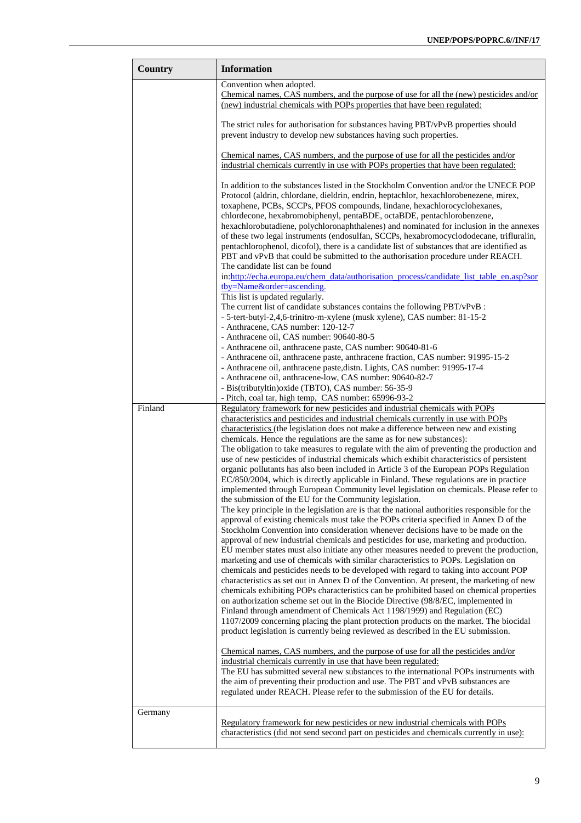| Country | <b>Information</b>                                                                                                                                                                                                                                                                                                                                                                                                                                                                                                                                                                                                                                                                                                                                                                                                                           |
|---------|----------------------------------------------------------------------------------------------------------------------------------------------------------------------------------------------------------------------------------------------------------------------------------------------------------------------------------------------------------------------------------------------------------------------------------------------------------------------------------------------------------------------------------------------------------------------------------------------------------------------------------------------------------------------------------------------------------------------------------------------------------------------------------------------------------------------------------------------|
|         | Convention when adopted.                                                                                                                                                                                                                                                                                                                                                                                                                                                                                                                                                                                                                                                                                                                                                                                                                     |
|         | Chemical names, CAS numbers, and the purpose of use for all the (new) pesticides and/or                                                                                                                                                                                                                                                                                                                                                                                                                                                                                                                                                                                                                                                                                                                                                      |
|         | (new) industrial chemicals with POPs properties that have been regulated:                                                                                                                                                                                                                                                                                                                                                                                                                                                                                                                                                                                                                                                                                                                                                                    |
|         | The strict rules for authorisation for substances having PBT/vPvB properties should                                                                                                                                                                                                                                                                                                                                                                                                                                                                                                                                                                                                                                                                                                                                                          |
|         | prevent industry to develop new substances having such properties.                                                                                                                                                                                                                                                                                                                                                                                                                                                                                                                                                                                                                                                                                                                                                                           |
|         | Chemical names, CAS numbers, and the purpose of use for all the pesticides and/or<br>industrial chemicals currently in use with POPs properties that have been regulated:                                                                                                                                                                                                                                                                                                                                                                                                                                                                                                                                                                                                                                                                    |
|         | In addition to the substances listed in the Stockholm Convention and/or the UNECE POP<br>Protocol (aldrin, chlordane, dieldrin, endrin, heptachlor, hexachlorobenezene, mirex,<br>toxaphene, PCBs, SCCPs, PFOS compounds, lindane, hexachlorocyclohexanes,<br>chlordecone, hexabromobiphenyl, pentaBDE, octaBDE, pentachlorobenzene,<br>hexachlorobutadiene, polychloronaphthalenes) and nominated for inclusion in the annexes<br>of these two legal instruments (endosulfan, SCCPs, hexabromocyclododecane, trifluralin,<br>pentachlorophenol, dicofol), there is a candidate list of substances that are identified as<br>PBT and vPvB that could be submitted to the authorisation procedure under REACH.<br>The candidate list can be found<br>in:http://echa.europa.eu/chem_data/authorisation_process/candidate_list_table_en.asp?sor |
|         | tby=Nameℴ=ascending.                                                                                                                                                                                                                                                                                                                                                                                                                                                                                                                                                                                                                                                                                                                                                                                                                         |
|         | This list is updated regularly.                                                                                                                                                                                                                                                                                                                                                                                                                                                                                                                                                                                                                                                                                                                                                                                                              |
|         | The current list of candidate substances contains the following PBT/vPvB :<br>- 5-tert-butyl-2,4,6-trinitro-m-xylene (musk xylene), CAS number: 81-15-2                                                                                                                                                                                                                                                                                                                                                                                                                                                                                                                                                                                                                                                                                      |
|         | - Anthracene, CAS number: 120-12-7                                                                                                                                                                                                                                                                                                                                                                                                                                                                                                                                                                                                                                                                                                                                                                                                           |
|         | - Anthracene oil, CAS number: 90640-80-5                                                                                                                                                                                                                                                                                                                                                                                                                                                                                                                                                                                                                                                                                                                                                                                                     |
|         | - Anthracene oil, anthracene paste, CAS number: 90640-81-6                                                                                                                                                                                                                                                                                                                                                                                                                                                                                                                                                                                                                                                                                                                                                                                   |
|         | - Anthracene oil, anthracene paste, anthracene fraction, CAS number: 91995-15-2                                                                                                                                                                                                                                                                                                                                                                                                                                                                                                                                                                                                                                                                                                                                                              |
|         | - Anthracene oil, anthracene paste, distn. Lights, CAS number: 91995-17-4<br>- Anthracene oil, anthracene-low, CAS number: 90640-82-7                                                                                                                                                                                                                                                                                                                                                                                                                                                                                                                                                                                                                                                                                                        |
|         | - Bis(tributyltin) oxide (TBTO), CAS number: 56-35-9                                                                                                                                                                                                                                                                                                                                                                                                                                                                                                                                                                                                                                                                                                                                                                                         |
|         | - Pitch, coal tar, high temp, CAS number: 65996-93-2                                                                                                                                                                                                                                                                                                                                                                                                                                                                                                                                                                                                                                                                                                                                                                                         |
| Finland | Regulatory framework for new pesticides and industrial chemicals with POPs                                                                                                                                                                                                                                                                                                                                                                                                                                                                                                                                                                                                                                                                                                                                                                   |
|         | characteristics and pesticides and industrial chemicals currently in use with POPs                                                                                                                                                                                                                                                                                                                                                                                                                                                                                                                                                                                                                                                                                                                                                           |
|         | characteristics (the legislation does not make a difference between new and existing<br>chemicals. Hence the regulations are the same as for new substances):                                                                                                                                                                                                                                                                                                                                                                                                                                                                                                                                                                                                                                                                                |
|         | The obligation to take measures to regulate with the aim of preventing the production and                                                                                                                                                                                                                                                                                                                                                                                                                                                                                                                                                                                                                                                                                                                                                    |
|         | use of new pesticides of industrial chemicals which exhibit characteristics of persistent                                                                                                                                                                                                                                                                                                                                                                                                                                                                                                                                                                                                                                                                                                                                                    |
|         | organic pollutants has also been included in Article 3 of the European POPs Regulation                                                                                                                                                                                                                                                                                                                                                                                                                                                                                                                                                                                                                                                                                                                                                       |
|         | EC/850/2004, which is directly applicable in Finland. These regulations are in practice                                                                                                                                                                                                                                                                                                                                                                                                                                                                                                                                                                                                                                                                                                                                                      |
|         | implemented through European Community level legislation on chemicals. Please refer to                                                                                                                                                                                                                                                                                                                                                                                                                                                                                                                                                                                                                                                                                                                                                       |
|         | the submission of the EU for the Community legislation.<br>The key principle in the legislation are is that the national authorities responsible for the                                                                                                                                                                                                                                                                                                                                                                                                                                                                                                                                                                                                                                                                                     |
|         | approval of existing chemicals must take the POPs criteria specified in Annex D of the<br>Stockholm Convention into consideration whenever decisions have to be made on the<br>approval of new industrial chemicals and pesticides for use, marketing and production.                                                                                                                                                                                                                                                                                                                                                                                                                                                                                                                                                                        |
|         | EU member states must also initiate any other measures needed to prevent the production,<br>marketing and use of chemicals with similar characteristics to POPs. Legislation on<br>chemicals and pesticides needs to be developed with regard to taking into account POP<br>characteristics as set out in Annex D of the Convention. At present, the marketing of new<br>chemicals exhibiting POPs characteristics can be prohibited based on chemical properties<br>on authorization scheme set out in the Biocide Directive (98/8/EC, implemented in<br>Finland through amendment of Chemicals Act 1198/1999) and Regulation (EC)<br>1107/2009 concerning placing the plant protection products on the market. The biocidal<br>product legislation is currently being reviewed as described in the EU submission.                          |
|         | Chemical names, CAS numbers, and the purpose of use for all the pesticides and/or                                                                                                                                                                                                                                                                                                                                                                                                                                                                                                                                                                                                                                                                                                                                                            |
|         | industrial chemicals currently in use that have been regulated:                                                                                                                                                                                                                                                                                                                                                                                                                                                                                                                                                                                                                                                                                                                                                                              |
|         | The EU has submitted several new substances to the international POPs instruments with                                                                                                                                                                                                                                                                                                                                                                                                                                                                                                                                                                                                                                                                                                                                                       |
|         | the aim of preventing their production and use. The PBT and vPvB substances are<br>regulated under REACH. Please refer to the submission of the EU for details.                                                                                                                                                                                                                                                                                                                                                                                                                                                                                                                                                                                                                                                                              |
|         |                                                                                                                                                                                                                                                                                                                                                                                                                                                                                                                                                                                                                                                                                                                                                                                                                                              |
| Germany |                                                                                                                                                                                                                                                                                                                                                                                                                                                                                                                                                                                                                                                                                                                                                                                                                                              |
|         | Regulatory framework for new pesticides or new industrial chemicals with POPs<br>characteristics (did not send second part on pesticides and chemicals currently in use):                                                                                                                                                                                                                                                                                                                                                                                                                                                                                                                                                                                                                                                                    |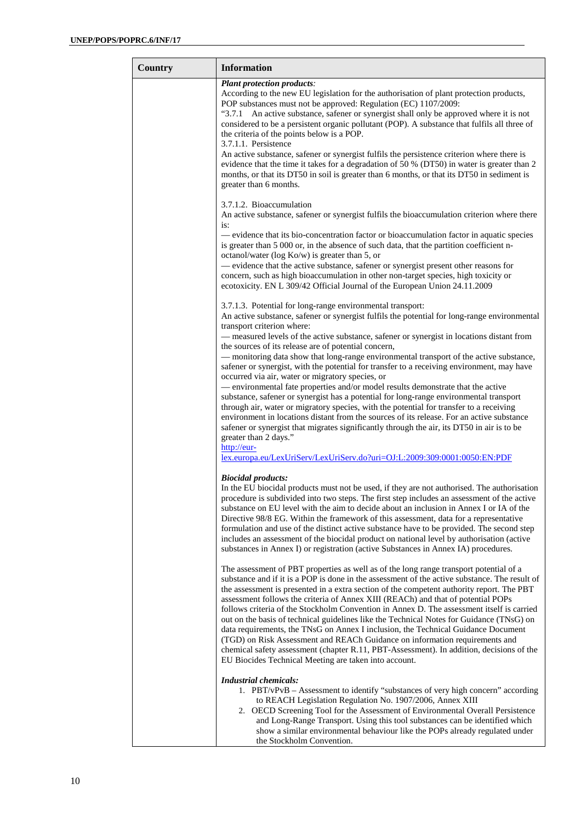| Country | <b>Information</b>                                                                                                                                                                                                                                                                                                                                                                                                                                                                                                                                                                                                                                                                                                                                                                                                                                                                         |
|---------|--------------------------------------------------------------------------------------------------------------------------------------------------------------------------------------------------------------------------------------------------------------------------------------------------------------------------------------------------------------------------------------------------------------------------------------------------------------------------------------------------------------------------------------------------------------------------------------------------------------------------------------------------------------------------------------------------------------------------------------------------------------------------------------------------------------------------------------------------------------------------------------------|
|         | <b>Plant protection products:</b><br>According to the new EU legislation for the authorisation of plant protection products,<br>POP substances must not be approved: Regulation (EC) 1107/2009:<br>"3.7.1 An active substance, safener or synergist shall only be approved where it is not<br>considered to be a persistent organic pollutant (POP). A substance that fulfils all three of<br>the criteria of the points below is a POP.<br>3.7.1.1. Persistence                                                                                                                                                                                                                                                                                                                                                                                                                           |
|         | An active substance, safener or synergist fulfils the persistence criterion where there is<br>evidence that the time it takes for a degradation of 50 % (DT50) in water is greater than 2<br>months, or that its DT50 in soil is greater than 6 months, or that its DT50 in sediment is<br>greater than 6 months.                                                                                                                                                                                                                                                                                                                                                                                                                                                                                                                                                                          |
|         | 3.7.1.2. Bioaccumulation<br>An active substance, safener or synergist fulfils the bioaccumulation criterion where there<br>is:<br>- evidence that its bio-concentration factor or bioaccumulation factor in aquatic species                                                                                                                                                                                                                                                                                                                                                                                                                                                                                                                                                                                                                                                                |
|         | is greater than 5 000 or, in the absence of such data, that the partition coefficient n-<br>octanol/water (log Ko/w) is greater than 5, or<br>- evidence that the active substance, safener or synergist present other reasons for                                                                                                                                                                                                                                                                                                                                                                                                                                                                                                                                                                                                                                                         |
|         | concern, such as high bioaccumulation in other non-target species, high toxicity or<br>ecotoxicity. EN L 309/42 Official Journal of the European Union 24.11.2009<br>3.7.1.3. Potential for long-range environmental transport:                                                                                                                                                                                                                                                                                                                                                                                                                                                                                                                                                                                                                                                            |
|         | An active substance, safener or synergist fulfils the potential for long-range environmental<br>transport criterion where:<br>- measured levels of the active substance, safener or synergist in locations distant from<br>the sources of its release are of potential concern,                                                                                                                                                                                                                                                                                                                                                                                                                                                                                                                                                                                                            |
|         | - monitoring data show that long-range environmental transport of the active substance,<br>safener or synergist, with the potential for transfer to a receiving environment, may have<br>occurred via air, water or migratory species, or<br>- environmental fate properties and/or model results demonstrate that the active<br>substance, safener or synergist has a potential for long-range environmental transport<br>through air, water or migratory species, with the potential for transfer to a receiving                                                                                                                                                                                                                                                                                                                                                                         |
|         | environment in locations distant from the sources of its release. For an active substance<br>safener or synergist that migrates significantly through the air, its DT50 in air is to be<br>greater than 2 days."<br>http://eur-<br>lex.europa.eu/LexUriServ/LexUriServ.do?uri=OJ:L:2009:309:0001:0050:EN:PDF                                                                                                                                                                                                                                                                                                                                                                                                                                                                                                                                                                               |
|         | <b>Biocidal products:</b><br>In the EU biocidal products must not be used, if they are not authorised. The authorisation<br>procedure is subdivided into two steps. The first step includes an assessment of the active<br>substance on EU level with the aim to decide about an inclusion in Annex I or IA of the<br>Directive 98/8 EG. Within the framework of this assessment, data for a representative<br>formulation and use of the distinct active substance have to be provided. The second step<br>includes an assessment of the biocidal product on national level by authorisation (active<br>substances in Annex I) or registration (active Substances in Annex IA) procedures.                                                                                                                                                                                                |
|         | The assessment of PBT properties as well as of the long range transport potential of a<br>substance and if it is a POP is done in the assessment of the active substance. The result of<br>the assessment is presented in a extra section of the competent authority report. The PBT<br>assessment follows the criteria of Annex XIII (REACh) and that of potential POPs<br>follows criteria of the Stockholm Convention in Annex D. The assessment itself is carried<br>out on the basis of technical guidelines like the Technical Notes for Guidance (TNsG) on<br>data requirements, the TNsG on Annex I inclusion, the Technical Guidance Document<br>(TGD) on Risk Assessment and REACh Guidance on information requirements and<br>chemical safety assessment (chapter R.11, PBT-Assessment). In addition, decisions of the<br>EU Biocides Technical Meeting are taken into account. |
|         | <b>Industrial chemicals:</b><br>1. PBT/vPvB - Assessment to identify "substances of very high concern" according<br>to REACH Legislation Regulation No. 1907/2006, Annex XIII<br>2. OECD Screening Tool for the Assessment of Environmental Overall Persistence<br>and Long-Range Transport. Using this tool substances can be identified which<br>show a similar environmental behaviour like the POPs already regulated under<br>the Stockholm Convention.                                                                                                                                                                                                                                                                                                                                                                                                                               |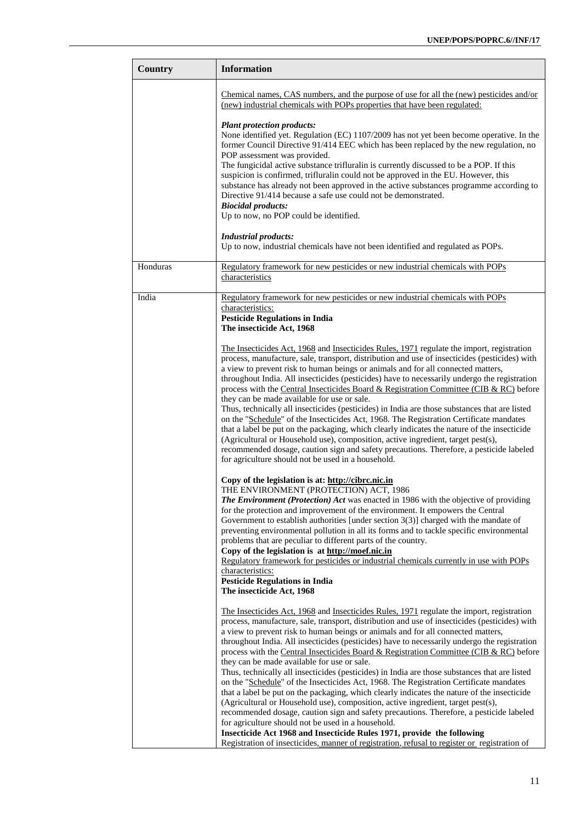| <b>Country</b> | <b>Information</b>                                                                                                                                                                                                                                                                                                                                                                                                                                                                                                                                                                                                                                                                                                                                                                                                                                                                                                                                                                                                                                     |
|----------------|--------------------------------------------------------------------------------------------------------------------------------------------------------------------------------------------------------------------------------------------------------------------------------------------------------------------------------------------------------------------------------------------------------------------------------------------------------------------------------------------------------------------------------------------------------------------------------------------------------------------------------------------------------------------------------------------------------------------------------------------------------------------------------------------------------------------------------------------------------------------------------------------------------------------------------------------------------------------------------------------------------------------------------------------------------|
|                | Chemical names, CAS numbers, and the purpose of use for all the (new) pesticides and/or<br>(new) industrial chemicals with POPs properties that have been regulated:                                                                                                                                                                                                                                                                                                                                                                                                                                                                                                                                                                                                                                                                                                                                                                                                                                                                                   |
|                | <b>Plant protection products:</b><br>None identified yet. Regulation (EC) 1107/2009 has not yet been become operative. In the<br>former Council Directive 91/414 EEC which has been replaced by the new regulation, no<br>POP assessment was provided.<br>The fungicidal active substance trifluralin is currently discussed to be a POP. If this<br>suspicion is confirmed, trifluralin could not be approved in the EU. However, this<br>substance has already not been approved in the active substances programme according to                                                                                                                                                                                                                                                                                                                                                                                                                                                                                                                     |
|                | Directive 91/414 because a safe use could not be demonstrated.<br><b>Biocidal products:</b>                                                                                                                                                                                                                                                                                                                                                                                                                                                                                                                                                                                                                                                                                                                                                                                                                                                                                                                                                            |
|                | Up to now, no POP could be identified.<br><b>Industrial products:</b><br>Up to now, industrial chemicals have not been identified and regulated as POPs.                                                                                                                                                                                                                                                                                                                                                                                                                                                                                                                                                                                                                                                                                                                                                                                                                                                                                               |
| Honduras       | Regulatory framework for new pesticides or new industrial chemicals with POPs<br>characteristics                                                                                                                                                                                                                                                                                                                                                                                                                                                                                                                                                                                                                                                                                                                                                                                                                                                                                                                                                       |
| India          | Regulatory framework for new pesticides or new industrial chemicals with POPs<br>characteristics:<br><b>Pesticide Regulations in India</b><br>The insecticide Act, 1968                                                                                                                                                                                                                                                                                                                                                                                                                                                                                                                                                                                                                                                                                                                                                                                                                                                                                |
|                | The Insecticides Act, 1968 and Insecticides Rules, 1971 regulate the import, registration<br>process, manufacture, sale, transport, distribution and use of insecticides (pesticides) with<br>a view to prevent risk to human beings or animals and for all connected matters,<br>throughout India. All insecticides (pesticides) have to necessarily undergo the registration<br>process with the Central Insecticides Board & Registration Committee (CIB & RC) before<br>they can be made available for use or sale.<br>Thus, technically all insecticides (pesticides) in India are those substances that are listed<br>on the "Schedule" of the Insecticides Act, 1968. The Registration Certificate mandates<br>that a label be put on the packaging, which clearly indicates the nature of the insecticide<br>(Agricultural or Household use), composition, active ingredient, target pest(s),<br>recommended dosage, caution sign and safety precautions. Therefore, a pesticide labeled<br>for agriculture should not be used in a household. |
|                | Copy of the legislation is at: http://cibrc.nic.in<br>THE ENVIRONMENT (PROTECTION) ACT, 1986<br>The Environment (Protection) Act was enacted in 1986 with the objective of providing<br>for the protection and improvement of the environment. It empowers the Central<br>Government to establish authorities [under section $3(3)$ ] charged with the mandate of<br>preventing environmental pollution in all its forms and to tackle specific environmental<br>problems that are peculiar to different parts of the country.<br>Copy of the legislation is at http://moef.nic.in<br>Regulatory framework for pesticides or industrial chemicals currently in use with POPs<br>characteristics:                                                                                                                                                                                                                                                                                                                                                       |
|                | <b>Pesticide Regulations in India</b><br>The insecticide Act, 1968                                                                                                                                                                                                                                                                                                                                                                                                                                                                                                                                                                                                                                                                                                                                                                                                                                                                                                                                                                                     |
|                | The Insecticides Act, 1968 and Insecticides Rules, 1971 regulate the import, registration<br>process, manufacture, sale, transport, distribution and use of insecticides (pesticides) with<br>a view to prevent risk to human beings or animals and for all connected matters,<br>throughout India. All insecticides (pesticides) have to necessarily undergo the registration<br>process with the Central Insecticides Board & Registration Committee (CIB & RC) before<br>they can be made available for use or sale.<br>Thus, technically all insecticides (pesticides) in India are those substances that are listed<br>on the "Schedule" of the Insecticides Act, 1968. The Registration Certificate mandates                                                                                                                                                                                                                                                                                                                                     |
|                | that a label be put on the packaging, which clearly indicates the nature of the insecticide<br>(Agricultural or Household use), composition, active ingredient, target pest(s),<br>recommended dosage, caution sign and safety precautions. Therefore, a pesticide labeled<br>for agriculture should not be used in a household.<br>Insecticide Act 1968 and Insecticide Rules 1971, provide the following<br>Registration of insecticides, manner of registration, refusal to register or registration of                                                                                                                                                                                                                                                                                                                                                                                                                                                                                                                                             |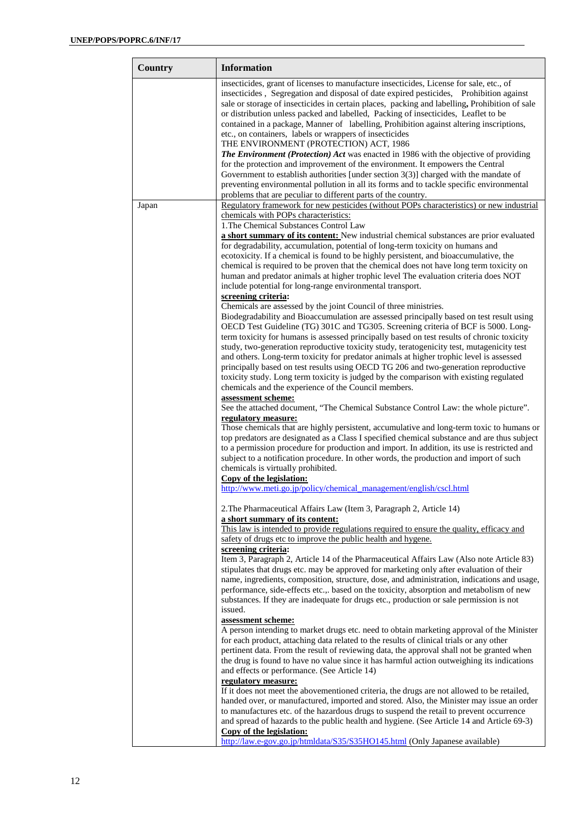| Country | <b>Information</b>                                                                                                                                                                                                                                                                                                                                                                                                                                                                                                                                                                                                                                                                                                                                                                                      |
|---------|---------------------------------------------------------------------------------------------------------------------------------------------------------------------------------------------------------------------------------------------------------------------------------------------------------------------------------------------------------------------------------------------------------------------------------------------------------------------------------------------------------------------------------------------------------------------------------------------------------------------------------------------------------------------------------------------------------------------------------------------------------------------------------------------------------|
|         | insecticides, grant of licenses to manufacture insecticides, License for sale, etc., of<br>insecticides, Segregation and disposal of date expired pesticides, Prohibition against<br>sale or storage of insecticides in certain places, packing and labelling, Prohibition of sale<br>or distribution unless packed and labelled, Packing of insecticides, Leaflet to be<br>contained in a package, Manner of labelling, Prohibition against altering inscriptions,<br>etc., on containers, labels or wrappers of insecticides<br>THE ENVIRONMENT (PROTECTION) ACT, 1986<br><b>The Environment (Protection) Act was enacted in 1986 with the objective of providing</b><br>for the protection and improvement of the environment. It empowers the Central                                               |
|         | Government to establish authorities [under section $3(3)$ ] charged with the mandate of<br>preventing environmental pollution in all its forms and to tackle specific environmental<br>problems that are peculiar to different parts of the country.                                                                                                                                                                                                                                                                                                                                                                                                                                                                                                                                                    |
| Japan   | Regulatory framework for new pesticides (without POPs characteristics) or new industrial                                                                                                                                                                                                                                                                                                                                                                                                                                                                                                                                                                                                                                                                                                                |
|         | chemicals with POPs characteristics:<br>1. The Chemical Substances Control Law<br>a short summary of its content: New industrial chemical substances are prior evaluated                                                                                                                                                                                                                                                                                                                                                                                                                                                                                                                                                                                                                                |
|         | for degradability, accumulation, potential of long-term toxicity on humans and<br>ecotoxicity. If a chemical is found to be highly persistent, and bioaccumulative, the<br>chemical is required to be proven that the chemical does not have long term toxicity on<br>human and predator animals at higher trophic level The evaluation criteria does NOT<br>include potential for long-range environmental transport.                                                                                                                                                                                                                                                                                                                                                                                  |
|         | screening criteria:<br>Chemicals are assessed by the joint Council of three ministries.<br>Biodegradability and Bioaccumulation are assessed principally based on test result using<br>OECD Test Guideline (TG) 301C and TG305. Screening criteria of BCF is 5000. Long-<br>term toxicity for humans is assessed principally based on test results of chronic toxicity<br>study, two-generation reproductive toxicity study, teratogenicity test, mutagenicity test<br>and others. Long-term toxicity for predator animals at higher trophic level is assessed<br>principally based on test results using OECD TG 206 and two-generation reproductive<br>toxicity study. Long term toxicity is judged by the comparison with existing regulated<br>chemicals and the experience of the Council members. |
|         | assessment scheme:<br>See the attached document, "The Chemical Substance Control Law: the whole picture".                                                                                                                                                                                                                                                                                                                                                                                                                                                                                                                                                                                                                                                                                               |
|         | regulatory measure:<br>Those chemicals that are highly persistent, accumulative and long-term toxic to humans or<br>top predators are designated as a Class I specified chemical substance and are thus subject<br>to a permission procedure for production and import. In addition, its use is restricted and<br>subject to a notification procedure. In other words, the production and import of such<br>chemicals is virtually prohibited.<br>Copy of the legislation:                                                                                                                                                                                                                                                                                                                              |
|         | http://www.meti.go.jp/policy/chemical_management/english/cscl.html                                                                                                                                                                                                                                                                                                                                                                                                                                                                                                                                                                                                                                                                                                                                      |
|         | 2. The Pharmaceutical Affairs Law (Item 3, Paragraph 2, Article 14)<br>a short summary of its content:                                                                                                                                                                                                                                                                                                                                                                                                                                                                                                                                                                                                                                                                                                  |
|         | This law is intended to provide regulations required to ensure the quality, efficacy and<br>safety of drugs etc to improve the public health and hygene.                                                                                                                                                                                                                                                                                                                                                                                                                                                                                                                                                                                                                                                |
|         | screening criteria:<br>Item 3, Paragraph 2, Article 14 of the Pharmaceutical Affairs Law (Also note Article 83)<br>stipulates that drugs etc. may be approved for marketing only after evaluation of their<br>name, ingredients, composition, structure, dose, and administration, indications and usage,<br>performance, side-effects etc.,. based on the toxicity, absorption and metabolism of new<br>substances. If they are inadequate for drugs etc., production or sale permission is not<br>issued.                                                                                                                                                                                                                                                                                             |
|         | assessment scheme:<br>A person intending to market drugs etc. need to obtain marketing approval of the Minister<br>for each product, attaching data related to the results of clinical trials or any other<br>pertinent data. From the result of reviewing data, the approval shall not be granted when<br>the drug is found to have no value since it has harmful action outweighing its indications<br>and effects or performance. (See Article 14)<br>regulatory measure:                                                                                                                                                                                                                                                                                                                            |
|         | If it does not meet the abovementioned criteria, the drugs are not allowed to be retailed,<br>handed over, or manufactured, imported and stored. Also, the Minister may issue an order<br>to manufactures etc. of the hazardous drugs to suspend the retail to prevent occurrence<br>and spread of hazards to the public health and hygiene. (See Article 14 and Article 69-3)<br>Copy of the legislation:<br>http://law.e-gov.go.jp/htmldata/S35/S35HO145.html (Only Japanese available)                                                                                                                                                                                                                                                                                                               |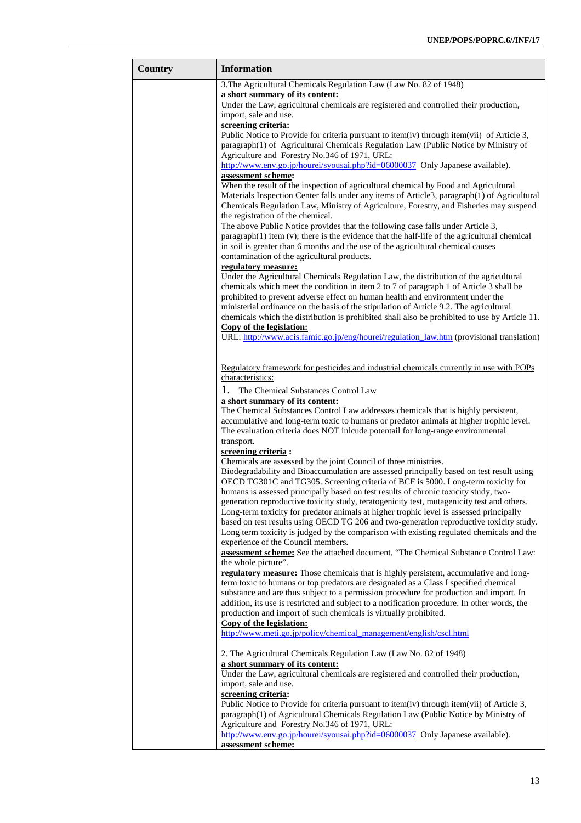| Country | <b>Information</b>                                                                                                                                                                                                                                                                                                                                                                                                 |
|---------|--------------------------------------------------------------------------------------------------------------------------------------------------------------------------------------------------------------------------------------------------------------------------------------------------------------------------------------------------------------------------------------------------------------------|
|         | 3. The Agricultural Chemicals Regulation Law (Law No. 82 of 1948)                                                                                                                                                                                                                                                                                                                                                  |
|         | a short summary of its content:<br>Under the Law, agricultural chemicals are registered and controlled their production,                                                                                                                                                                                                                                                                                           |
|         | import, sale and use.<br>screening criteria:                                                                                                                                                                                                                                                                                                                                                                       |
|         | Public Notice to Provide for criteria pursuant to item(iv) through item(vii) of Article 3,<br>paragraph(1) of Agricultural Chemicals Regulation Law (Public Notice by Ministry of                                                                                                                                                                                                                                  |
|         | Agriculture and Forestry No.346 of 1971, URL:<br>http://www.env.go.jp/hourei/syousai.php?id=06000037 Only Japanese available).                                                                                                                                                                                                                                                                                     |
|         | assessment scheme:<br>When the result of the inspection of agricultural chemical by Food and Agricultural<br>Materials Inspection Center falls under any items of Article3, paragraph(1) of Agricultural<br>Chemicals Regulation Law, Ministry of Agriculture, Forestry, and Fisheries may suspend<br>the registration of the chemical.                                                                            |
|         | The above Public Notice provides that the following case falls under Article 3,<br>$\text{pargraph}(1)$ item (v); there is the evidence that the half-life of the agricultural chemical<br>in soil is greater than 6 months and the use of the agricultural chemical causes                                                                                                                                        |
|         | contamination of the agricultural products.<br>regulatory measure:                                                                                                                                                                                                                                                                                                                                                 |
|         | Under the Agricultural Chemicals Regulation Law, the distribution of the agricultural<br>chemicals which meet the condition in item 2 to 7 of paragraph 1 of Article 3 shall be<br>prohibited to prevent adverse effect on human health and environment under the<br>ministerial ordinance on the basis of the stipulation of Article 9.2. The agricultural                                                        |
|         | chemicals which the distribution is prohibited shall also be prohibited to use by Article 11.<br>Copy of the legislation:                                                                                                                                                                                                                                                                                          |
|         | URL: http://www.acis.famic.go.jp/eng/hourei/regulation_law.htm (provisional translation)                                                                                                                                                                                                                                                                                                                           |
|         | Regulatory framework for pesticides and industrial chemicals currently in use with POPs                                                                                                                                                                                                                                                                                                                            |
|         | characteristics:                                                                                                                                                                                                                                                                                                                                                                                                   |
|         | 1.<br>The Chemical Substances Control Law<br>a short summary of its content:                                                                                                                                                                                                                                                                                                                                       |
|         | The Chemical Substances Control Law addresses chemicals that is highly persistent,<br>accumulative and long-term toxic to humans or predator animals at higher trophic level.<br>The evaluation criteria does NOT inlcude potentail for long-range environmental                                                                                                                                                   |
|         | transport.<br>screening criteria :                                                                                                                                                                                                                                                                                                                                                                                 |
|         | Chemicals are assessed by the joint Council of three ministries.<br>Biodegradability and Bioaccumulation are assessed principally based on test result using<br>OECD TG301C and TG305. Screening criteria of BCF is 5000. Long-term toxicity for<br>humans is assessed principally based on test results of chronic toxicity study, two-                                                                           |
|         | generation reproductive toxicity study, teratogenicity test, mutagenicity test and others.<br>Long-term toxicity for predator animals at higher trophic level is assessed principally<br>based on test results using OECD TG 206 and two-generation reproductive toxicity study.<br>Long term toxicity is judged by the comparison with existing regulated chemicals and the<br>experience of the Council members. |
|         | assessment scheme: See the attached document, "The Chemical Substance Control Law:<br>the whole picture".                                                                                                                                                                                                                                                                                                          |
|         | regulatory measure: Those chemicals that is highly persistent, accumulative and long-<br>term toxic to humans or top predators are designated as a Class I specified chemical<br>substance and are thus subject to a permission procedure for production and import. In<br>addition, its use is restricted and subject to a notification procedure. In other words, the                                            |
|         | production and import of such chemicals is virtually prohibited.                                                                                                                                                                                                                                                                                                                                                   |
|         | Copy of the legislation:<br>http://www.meti.go.jp/policy/chemical_management/english/cscl.html                                                                                                                                                                                                                                                                                                                     |
|         | 2. The Agricultural Chemicals Regulation Law (Law No. 82 of 1948)<br>a short summary of its content:                                                                                                                                                                                                                                                                                                               |
|         | Under the Law, agricultural chemicals are registered and controlled their production,<br>import, sale and use.                                                                                                                                                                                                                                                                                                     |
|         | screening criteria:<br>Public Notice to Provide for criteria pursuant to item(iv) through item(vii) of Article 3,<br>paragraph(1) of Agricultural Chemicals Regulation Law (Public Notice by Ministry of                                                                                                                                                                                                           |
|         | Agriculture and Forestry No.346 of 1971, URL:<br>http://www.env.go.jp/hourei/syousai.php?id=06000037 Only Japanese available).                                                                                                                                                                                                                                                                                     |
|         | assessment scheme:                                                                                                                                                                                                                                                                                                                                                                                                 |

r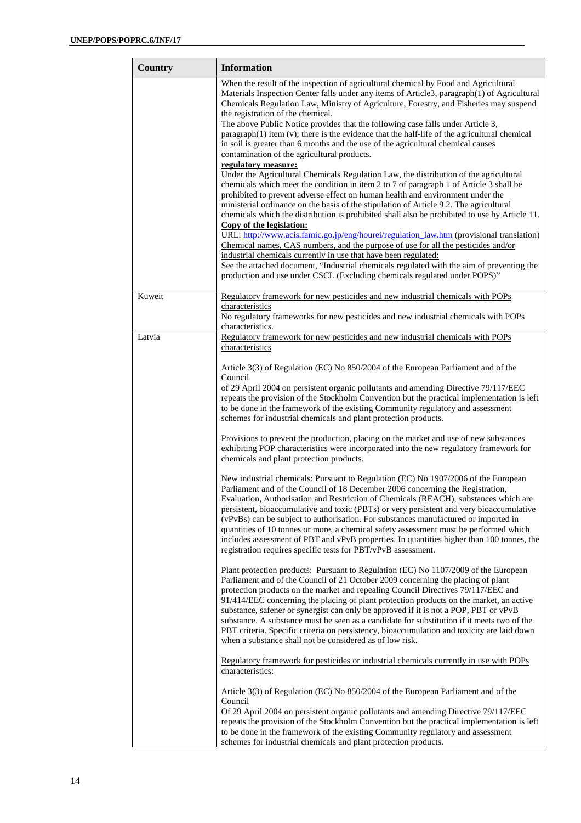| Country | <b>Information</b>                                                                                                                                                                                                                                                                                                                                                                                                                                                                                                                                                                                                                                                                                      |
|---------|---------------------------------------------------------------------------------------------------------------------------------------------------------------------------------------------------------------------------------------------------------------------------------------------------------------------------------------------------------------------------------------------------------------------------------------------------------------------------------------------------------------------------------------------------------------------------------------------------------------------------------------------------------------------------------------------------------|
|         | When the result of the inspection of agricultural chemical by Food and Agricultural<br>Materials Inspection Center falls under any items of Article3, paragraph(1) of Agricultural<br>Chemicals Regulation Law, Ministry of Agriculture, Forestry, and Fisheries may suspend<br>the registration of the chemical.                                                                                                                                                                                                                                                                                                                                                                                       |
|         | The above Public Notice provides that the following case falls under Article 3,<br>$\text{pargraph}(1)$ item (v); there is the evidence that the half-life of the agricultural chemical<br>in soil is greater than 6 months and the use of the agricultural chemical causes<br>contamination of the agricultural products.                                                                                                                                                                                                                                                                                                                                                                              |
|         | regulatory measure:<br>Under the Agricultural Chemicals Regulation Law, the distribution of the agricultural<br>chemicals which meet the condition in item 2 to 7 of paragraph 1 of Article 3 shall be<br>prohibited to prevent adverse effect on human health and environment under the<br>ministerial ordinance on the basis of the stipulation of Article 9.2. The agricultural<br>chemicals which the distribution is prohibited shall also be prohibited to use by Article 11.<br>Copy of the legislation:                                                                                                                                                                                         |
|         | URL: http://www.acis.famic.go.jp/eng/hourei/regulation_law.htm (provisional translation)<br>Chemical names, CAS numbers, and the purpose of use for all the pesticides and/or<br>industrial chemicals currently in use that have been regulated:<br>See the attached document, "Industrial chemicals regulated with the aim of preventing the<br>production and use under CSCL (Excluding chemicals regulated under POPS)"                                                                                                                                                                                                                                                                              |
| Kuweit  | Regulatory framework for new pesticides and new industrial chemicals with POPs<br>characteristics<br>No regulatory frameworks for new pesticides and new industrial chemicals with POPs<br>characteristics.                                                                                                                                                                                                                                                                                                                                                                                                                                                                                             |
| Latvia  | Regulatory framework for new pesticides and new industrial chemicals with POPs<br>characteristics                                                                                                                                                                                                                                                                                                                                                                                                                                                                                                                                                                                                       |
|         | Article 3(3) of Regulation (EC) No 850/2004 of the European Parliament and of the<br>Council<br>of 29 April 2004 on persistent organic pollutants and amending Directive 79/117/EEC<br>repeats the provision of the Stockholm Convention but the practical implementation is left<br>to be done in the framework of the existing Community regulatory and assessment<br>schemes for industrial chemicals and plant protection products.                                                                                                                                                                                                                                                                 |
|         | Provisions to prevent the production, placing on the market and use of new substances<br>exhibiting POP characteristics were incorporated into the new regulatory framework for<br>chemicals and plant protection products.                                                                                                                                                                                                                                                                                                                                                                                                                                                                             |
|         | New industrial chemicals: Pursuant to Regulation (EC) No 1907/2006 of the European<br>Parliament and of the Council of 18 December 2006 concerning the Registration,<br>Evaluation, Authorisation and Restriction of Chemicals (REACH), substances which are<br>persistent, bioaccumulative and toxic (PBTs) or very persistent and very bioaccumulative<br>(vPvBs) can be subject to authorisation. For substances manufactured or imported in<br>quantities of 10 tonnes or more, a chemical safety assessment must be performed which<br>includes assessment of PBT and vPvB properties. In quantities higher than 100 tonnes, the<br>registration requires specific tests for PBT/vPvB assessment.  |
|         | Plant protection products: Pursuant to Regulation (EC) No 1107/2009 of the European<br>Parliament and of the Council of 21 October 2009 concerning the placing of plant<br>protection products on the market and repealing Council Directives 79/117/EEC and<br>91/414/EEC concerning the placing of plant protection products on the market, an active<br>substance, safener or synergist can only be approved if it is not a POP, PBT or vPvB<br>substance. A substance must be seen as a candidate for substitution if it meets two of the<br>PBT criteria. Specific criteria on persistency, bioaccumulation and toxicity are laid down<br>when a substance shall not be considered as of low risk. |
|         | Regulatory framework for pesticides or industrial chemicals currently in use with POPs<br>characteristics:                                                                                                                                                                                                                                                                                                                                                                                                                                                                                                                                                                                              |
|         | Article 3(3) of Regulation (EC) No 850/2004 of the European Parliament and of the<br>Council<br>Of 29 April 2004 on persistent organic pollutants and amending Directive 79/117/EEC<br>repeats the provision of the Stockholm Convention but the practical implementation is left<br>to be done in the framework of the existing Community regulatory and assessment<br>schemes for industrial chemicals and plant protection products.                                                                                                                                                                                                                                                                 |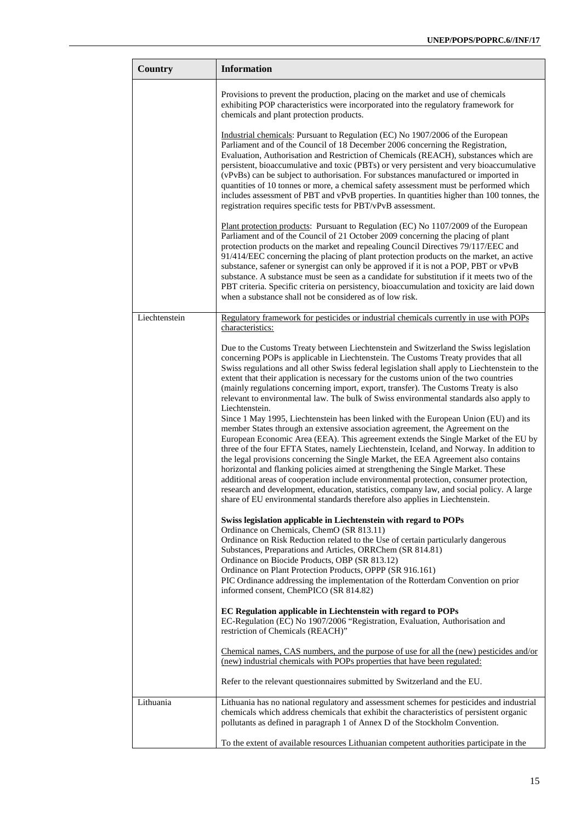| Country       | <b>Information</b>                                                                                                                                                                                                                                                                                                                                                                                                                                                                                                                                                                                                                                                                                                                                                                                                                                                                                                                                                                                                                                                                                                 |
|---------------|--------------------------------------------------------------------------------------------------------------------------------------------------------------------------------------------------------------------------------------------------------------------------------------------------------------------------------------------------------------------------------------------------------------------------------------------------------------------------------------------------------------------------------------------------------------------------------------------------------------------------------------------------------------------------------------------------------------------------------------------------------------------------------------------------------------------------------------------------------------------------------------------------------------------------------------------------------------------------------------------------------------------------------------------------------------------------------------------------------------------|
|               | Provisions to prevent the production, placing on the market and use of chemicals<br>exhibiting POP characteristics were incorporated into the regulatory framework for<br>chemicals and plant protection products.                                                                                                                                                                                                                                                                                                                                                                                                                                                                                                                                                                                                                                                                                                                                                                                                                                                                                                 |
|               | Industrial chemicals: Pursuant to Regulation (EC) No 1907/2006 of the European<br>Parliament and of the Council of 18 December 2006 concerning the Registration,<br>Evaluation, Authorisation and Restriction of Chemicals (REACH), substances which are<br>persistent, bioaccumulative and toxic (PBTs) or very persistent and very bioaccumulative<br>(vPvBs) can be subject to authorisation. For substances manufactured or imported in<br>quantities of 10 tonnes or more, a chemical safety assessment must be performed which<br>includes assessment of PBT and vPvB properties. In quantities higher than 100 tonnes, the<br>registration requires specific tests for PBT/vPvB assessment.                                                                                                                                                                                                                                                                                                                                                                                                                 |
|               | Plant protection products: Pursuant to Regulation (EC) No 1107/2009 of the European<br>Parliament and of the Council of 21 October 2009 concerning the placing of plant<br>protection products on the market and repealing Council Directives 79/117/EEC and<br>91/414/EEC concerning the placing of plant protection products on the market, an active<br>substance, safener or synergist can only be approved if it is not a POP, PBT or vPvB<br>substance. A substance must be seen as a candidate for substitution if it meets two of the<br>PBT criteria. Specific criteria on persistency, bioaccumulation and toxicity are laid down<br>when a substance shall not be considered as of low risk.                                                                                                                                                                                                                                                                                                                                                                                                            |
| Liechtenstein | Regulatory framework for pesticides or industrial chemicals currently in use with POPs<br>characteristics:                                                                                                                                                                                                                                                                                                                                                                                                                                                                                                                                                                                                                                                                                                                                                                                                                                                                                                                                                                                                         |
|               | Due to the Customs Treaty between Liechtenstein and Switzerland the Swiss legislation<br>concerning POPs is applicable in Liechtenstein. The Customs Treaty provides that all<br>Swiss regulations and all other Swiss federal legislation shall apply to Liechtenstein to the<br>extent that their application is necessary for the customs union of the two countries<br>(mainly regulations concerning import, export, transfer). The Customs Treaty is also<br>relevant to environmental law. The bulk of Swiss environmental standards also apply to<br>Liechtenstein.<br>Since 1 May 1995, Liechtenstein has been linked with the European Union (EU) and its<br>member States through an extensive association agreement, the Agreement on the<br>European Economic Area (EEA). This agreement extends the Single Market of the EU by<br>three of the four EFTA States, namely Liechtenstein, Iceland, and Norway. In addition to<br>the legal provisions concerning the Single Market, the EEA Agreement also contains<br>horizontal and flanking policies aimed at strengthening the Single Market. These |
|               | additional areas of cooperation include environmental protection, consumer protection,<br>research and development, education, statistics, company law, and social policy. A large<br>share of EU environmental standards therefore also applies in Liechtenstein.                                                                                                                                                                                                                                                                                                                                                                                                                                                                                                                                                                                                                                                                                                                                                                                                                                                 |
|               | Swiss legislation applicable in Liechtenstein with regard to POPs<br>Ordinance on Chemicals, ChemO (SR 813.11)<br>Ordinance on Risk Reduction related to the Use of certain particularly dangerous<br>Substances, Preparations and Articles, ORRChem (SR 814.81)                                                                                                                                                                                                                                                                                                                                                                                                                                                                                                                                                                                                                                                                                                                                                                                                                                                   |
|               | Ordinance on Biocide Products, OBP (SR 813.12)<br>Ordinance on Plant Protection Products, OPPP (SR 916.161)<br>PIC Ordinance addressing the implementation of the Rotterdam Convention on prior<br>informed consent, ChemPICO (SR 814.82)                                                                                                                                                                                                                                                                                                                                                                                                                                                                                                                                                                                                                                                                                                                                                                                                                                                                          |
|               | EC Regulation applicable in Liechtenstein with regard to POPs<br>EC-Regulation (EC) No 1907/2006 "Registration, Evaluation, Authorisation and<br>restriction of Chemicals (REACH)"                                                                                                                                                                                                                                                                                                                                                                                                                                                                                                                                                                                                                                                                                                                                                                                                                                                                                                                                 |
|               | Chemical names, CAS numbers, and the purpose of use for all the (new) pesticides and/or<br>(new) industrial chemicals with POPs properties that have been regulated:                                                                                                                                                                                                                                                                                                                                                                                                                                                                                                                                                                                                                                                                                                                                                                                                                                                                                                                                               |
|               | Refer to the relevant questionnaires submitted by Switzerland and the EU.                                                                                                                                                                                                                                                                                                                                                                                                                                                                                                                                                                                                                                                                                                                                                                                                                                                                                                                                                                                                                                          |
| Lithuania     | Lithuania has no national regulatory and assessment schemes for pesticides and industrial<br>chemicals which address chemicals that exhibit the characteristics of persistent organic<br>pollutants as defined in paragraph 1 of Annex D of the Stockholm Convention.                                                                                                                                                                                                                                                                                                                                                                                                                                                                                                                                                                                                                                                                                                                                                                                                                                              |
|               | To the extent of available resources Lithuanian competent authorities participate in the                                                                                                                                                                                                                                                                                                                                                                                                                                                                                                                                                                                                                                                                                                                                                                                                                                                                                                                                                                                                                           |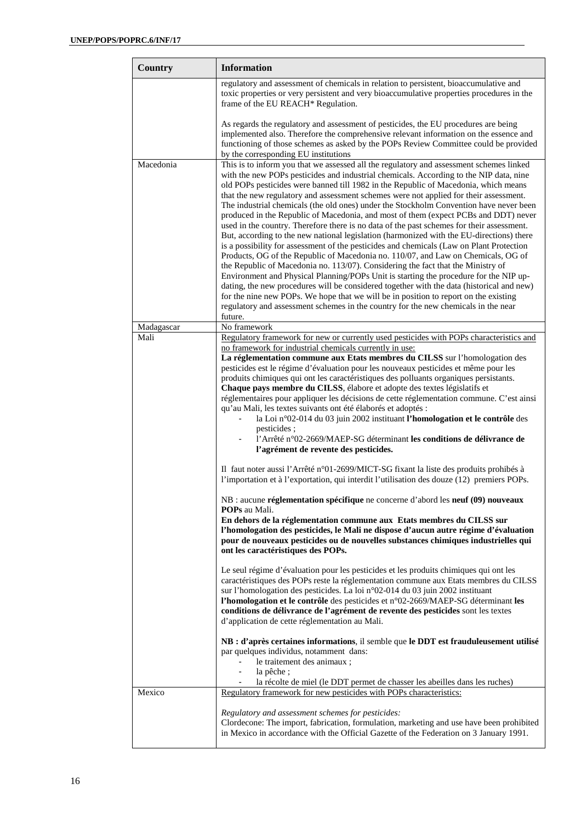| Country    | <b>Information</b>                                                                                                                                                                                                                                                                                                                                                                                                                                                                                                                                                                                                                                                                                                                                                                                                                                                                                                                                                                                                                                                                                                                                                                                                                                                                                                                                                                              |
|------------|-------------------------------------------------------------------------------------------------------------------------------------------------------------------------------------------------------------------------------------------------------------------------------------------------------------------------------------------------------------------------------------------------------------------------------------------------------------------------------------------------------------------------------------------------------------------------------------------------------------------------------------------------------------------------------------------------------------------------------------------------------------------------------------------------------------------------------------------------------------------------------------------------------------------------------------------------------------------------------------------------------------------------------------------------------------------------------------------------------------------------------------------------------------------------------------------------------------------------------------------------------------------------------------------------------------------------------------------------------------------------------------------------|
|            | regulatory and assessment of chemicals in relation to persistent, bioaccumulative and<br>toxic properties or very persistent and very bioaccumulative properties procedures in the<br>frame of the EU REACH* Regulation.                                                                                                                                                                                                                                                                                                                                                                                                                                                                                                                                                                                                                                                                                                                                                                                                                                                                                                                                                                                                                                                                                                                                                                        |
|            | As regards the regulatory and assessment of pesticides, the EU procedures are being<br>implemented also. Therefore the comprehensive relevant information on the essence and<br>functioning of those schemes as asked by the POPs Review Committee could be provided<br>by the corresponding EU institutions                                                                                                                                                                                                                                                                                                                                                                                                                                                                                                                                                                                                                                                                                                                                                                                                                                                                                                                                                                                                                                                                                    |
| Macedonia  | This is to inform you that we assessed all the regulatory and assessment schemes linked<br>with the new POPs pesticides and industrial chemicals. According to the NIP data, nine<br>old POPs pesticides were banned till 1982 in the Republic of Macedonia, which means<br>that the new regulatory and assessment schemes were not applied for their assessment.<br>The industrial chemicals (the old ones) under the Stockholm Convention have never been<br>produced in the Republic of Macedonia, and most of them (expect PCBs and DDT) never<br>used in the country. Therefore there is no data of the past schemes for their assessment.<br>But, according to the new national legislation (harmonized with the EU-directions) there<br>is a possibility for assessment of the pesticides and chemicals (Law on Plant Protection<br>Products, OG of the Republic of Macedonia no. 110/07, and Law on Chemicals, OG of<br>the Republic of Macedonia no. 113/07). Considering the fact that the Ministry of<br>Environment and Physical Planning/POPs Unit is starting the procedure for the NIP up-<br>dating, the new procedures will be considered together with the data (historical and new)<br>for the nine new POPs. We hope that we will be in position to report on the existing<br>regulatory and assessment schemes in the country for the new chemicals in the near<br>future. |
| Madagascar | No framework<br>Regulatory framework for new or currently used pesticides with POPs characteristics and                                                                                                                                                                                                                                                                                                                                                                                                                                                                                                                                                                                                                                                                                                                                                                                                                                                                                                                                                                                                                                                                                                                                                                                                                                                                                         |
| Mali       | no framework for industrial chemicals currently in use:<br>La réglementation commune aux Etats membres du CILSS sur l'homologation des<br>pesticides est le régime d'évaluation pour les nouveaux pesticides et même pour les<br>produits chimiques qui ont les caractéristiques des polluants organiques persistants.<br>Chaque pays membre du CILSS, élabore et adopte des textes législatifs et<br>réglementaires pour appliquer les décisions de cette réglementation commune. C'est ainsi<br>qu'au Mali, les textes suivants ont été élaborés et adoptés :<br>la Loi n°02-014 du 03 juin 2002 instituant l'homologation et le contrôle des<br>$\overline{\phantom{a}}$<br>pesticides;<br>l'Arrêté n°02-2669/MAEP-SG déterminant les conditions de délivrance de<br>l'agrément de revente des pesticides.                                                                                                                                                                                                                                                                                                                                                                                                                                                                                                                                                                                   |
|            | Il faut noter aussi l'Arrêté n°01-2699/MICT-SG fixant la liste des produits prohibés à<br>l'importation et à l'exportation, qui interdit l'utilisation des douze (12) premiers POPs.                                                                                                                                                                                                                                                                                                                                                                                                                                                                                                                                                                                                                                                                                                                                                                                                                                                                                                                                                                                                                                                                                                                                                                                                            |
|            | NB : aucune réglementation spécifique ne concerne d'abord les neuf (09) nouveaux<br><b>POPs</b> au Mali.<br>En dehors de la réglementation commune aux Etats membres du CILSS sur<br>l'homologation des pesticides, le Mali ne dispose d'aucun autre régime d'évaluation<br>pour de nouveaux pesticides ou de nouvelles substances chimiques industrielles qui<br>ont les caractéristiques des POPs.                                                                                                                                                                                                                                                                                                                                                                                                                                                                                                                                                                                                                                                                                                                                                                                                                                                                                                                                                                                            |
|            | Le seul régime d'évaluation pour les pesticides et les produits chimiques qui ont les<br>caractéristiques des POPs reste la réglementation commune aux Etats membres du CILSS<br>sur l'homologation des pesticides. La loi n°02-014 du 03 juin 2002 instituant<br>l'homologation et le contrôle des pesticides et n°02-2669/MAEP-SG déterminant les<br>conditions de délivrance de l'agrément de revente des pesticides sont les textes<br>d'application de cette réglementation au Mali.                                                                                                                                                                                                                                                                                                                                                                                                                                                                                                                                                                                                                                                                                                                                                                                                                                                                                                       |
|            | NB : d'après certaines informations, il semble que le DDT est frauduleusement utilisé<br>par quelques individus, notamment dans:<br>le traitement des animaux ;<br>la pêche ;<br>$\overline{\phantom{0}}$                                                                                                                                                                                                                                                                                                                                                                                                                                                                                                                                                                                                                                                                                                                                                                                                                                                                                                                                                                                                                                                                                                                                                                                       |
| Mexico     | la récolte de miel (le DDT permet de chasser les abeilles dans les ruches)<br>۰.<br>Regulatory framework for new pesticides with POPs characteristics:                                                                                                                                                                                                                                                                                                                                                                                                                                                                                                                                                                                                                                                                                                                                                                                                                                                                                                                                                                                                                                                                                                                                                                                                                                          |
|            | Regulatory and assessment schemes for pesticides:<br>Clordecone: The import, fabrication, formulation, marketing and use have been prohibited<br>in Mexico in accordance with the Official Gazette of the Federation on 3 January 1991.                                                                                                                                                                                                                                                                                                                                                                                                                                                                                                                                                                                                                                                                                                                                                                                                                                                                                                                                                                                                                                                                                                                                                         |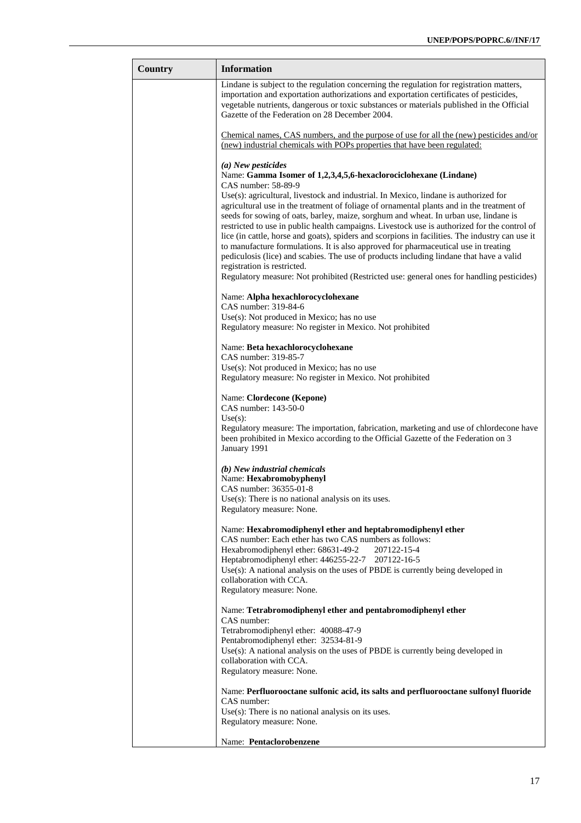| Country | <b>Information</b>                                                                                                                                                                                                                                                                                                                                                                                                                                                                                                                                                                                                                                                                                                                                                                         |
|---------|--------------------------------------------------------------------------------------------------------------------------------------------------------------------------------------------------------------------------------------------------------------------------------------------------------------------------------------------------------------------------------------------------------------------------------------------------------------------------------------------------------------------------------------------------------------------------------------------------------------------------------------------------------------------------------------------------------------------------------------------------------------------------------------------|
|         | Lindane is subject to the regulation concerning the regulation for registration matters,<br>importation and exportation authorizations and exportation certificates of pesticides,<br>vegetable nutrients, dangerous or toxic substances or materials published in the Official<br>Gazette of the Federation on 28 December 2004.                                                                                                                                                                                                                                                                                                                                                                                                                                                          |
|         | Chemical names, CAS numbers, and the purpose of use for all the (new) pesticides and/or<br>(new) industrial chemicals with POPs properties that have been regulated:                                                                                                                                                                                                                                                                                                                                                                                                                                                                                                                                                                                                                       |
|         | (a) New pesticides<br>Name: Gamma Isomer of 1,2,3,4,5,6-hexaclorociclohexane (Lindane)<br>CAS number: 58-89-9                                                                                                                                                                                                                                                                                                                                                                                                                                                                                                                                                                                                                                                                              |
|         | Use(s): agricultural, livestock and industrial. In Mexico, lindane is authorized for<br>agricultural use in the treatment of foliage of ornamental plants and in the treatment of<br>seeds for sowing of oats, barley, maize, sorghum and wheat. In urban use, lindane is<br>restricted to use in public health campaigns. Livestock use is authorized for the control of<br>lice (in cattle, horse and goats), spiders and scorpions in facilities. The industry can use it<br>to manufacture formulations. It is also approved for pharmaceutical use in treating<br>pediculosis (lice) and scabies. The use of products including lindane that have a valid<br>registration is restricted.<br>Regulatory measure: Not prohibited (Restricted use: general ones for handling pesticides) |
|         | Name: Alpha hexachlorocyclohexane                                                                                                                                                                                                                                                                                                                                                                                                                                                                                                                                                                                                                                                                                                                                                          |
|         | CAS number: 319-84-6<br>$Use(s)$ : Not produced in Mexico; has no use                                                                                                                                                                                                                                                                                                                                                                                                                                                                                                                                                                                                                                                                                                                      |
|         | Regulatory measure: No register in Mexico. Not prohibited                                                                                                                                                                                                                                                                                                                                                                                                                                                                                                                                                                                                                                                                                                                                  |
|         | Name: Beta hexachlorocyclohexane<br>CAS number: 319-85-7<br>Use(s): Not produced in Mexico; has no use<br>Regulatory measure: No register in Mexico. Not prohibited                                                                                                                                                                                                                                                                                                                                                                                                                                                                                                                                                                                                                        |
|         | Name: Clordecone (Kepone)<br>CAS number: 143-50-0<br>Use(s):<br>Regulatory measure: The importation, fabrication, marketing and use of chlordecone have<br>been prohibited in Mexico according to the Official Gazette of the Federation on 3<br>January 1991                                                                                                                                                                                                                                                                                                                                                                                                                                                                                                                              |
|         | $(b)$ New industrial chemicals<br>Name: Hexabromobyphenyl<br>CAS number: 36355-01-8                                                                                                                                                                                                                                                                                                                                                                                                                                                                                                                                                                                                                                                                                                        |
|         | $Use(s)$ : There is no national analysis on its uses.<br>Regulatory measure: None.                                                                                                                                                                                                                                                                                                                                                                                                                                                                                                                                                                                                                                                                                                         |
|         | Name: Hexabromodiphenyl ether and heptabromodiphenyl ether<br>CAS number: Each ether has two CAS numbers as follows:<br>Hexabromodiphenyl ether: 68631-49-2<br>207122-15-4<br>Heptabromodiphenyl ether: 446255-22-7 207122-16-5                                                                                                                                                                                                                                                                                                                                                                                                                                                                                                                                                            |
|         | Use(s): A national analysis on the uses of PBDE is currently being developed in<br>collaboration with CCA.<br>Regulatory measure: None.                                                                                                                                                                                                                                                                                                                                                                                                                                                                                                                                                                                                                                                    |
|         | Name: Tetrabromodiphenyl ether and pentabromodiphenyl ether<br>CAS number:<br>Tetrabromodiphenyl ether: 40088-47-9                                                                                                                                                                                                                                                                                                                                                                                                                                                                                                                                                                                                                                                                         |
|         | Pentabromodiphenyl ether: 32534-81-9<br>$Use(s)$ : A national analysis on the uses of PBDE is currently being developed in<br>collaboration with CCA.<br>Regulatory measure: None.                                                                                                                                                                                                                                                                                                                                                                                                                                                                                                                                                                                                         |
|         | Name: Perfluorooctane sulfonic acid, its salts and perfluorooctane sulfonyl fluoride<br>CAS number:<br>$Use(s)$ : There is no national analysis on its uses.<br>Regulatory measure: None.                                                                                                                                                                                                                                                                                                                                                                                                                                                                                                                                                                                                  |
|         | Name: Pentaclorobenzene                                                                                                                                                                                                                                                                                                                                                                                                                                                                                                                                                                                                                                                                                                                                                                    |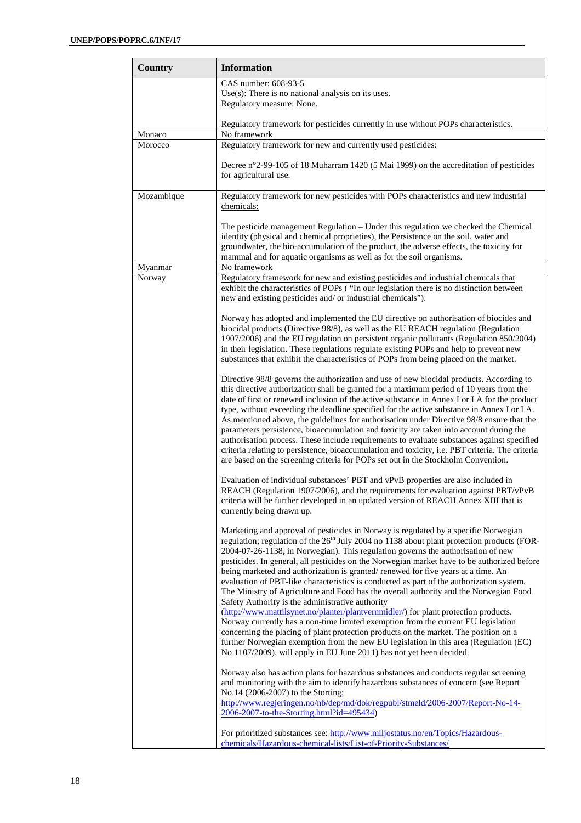| Country           | <b>Information</b>                                                                                                                                                                                                                                                                                                                                                                                                                                                                                                                                                                                                                                                                                                                                                                                                                                            |
|-------------------|---------------------------------------------------------------------------------------------------------------------------------------------------------------------------------------------------------------------------------------------------------------------------------------------------------------------------------------------------------------------------------------------------------------------------------------------------------------------------------------------------------------------------------------------------------------------------------------------------------------------------------------------------------------------------------------------------------------------------------------------------------------------------------------------------------------------------------------------------------------|
|                   | CAS number: 608-93-5<br>$Use(s)$ : There is no national analysis on its uses.<br>Regulatory measure: None.                                                                                                                                                                                                                                                                                                                                                                                                                                                                                                                                                                                                                                                                                                                                                    |
|                   | Regulatory framework for pesticides currently in use without POPs characteristics.                                                                                                                                                                                                                                                                                                                                                                                                                                                                                                                                                                                                                                                                                                                                                                            |
| Monaco<br>Morocco | No framework<br>Regulatory framework for new and currently used pesticides:                                                                                                                                                                                                                                                                                                                                                                                                                                                                                                                                                                                                                                                                                                                                                                                   |
|                   | Decree n°2-99-105 of 18 Muharram 1420 (5 Mai 1999) on the accreditation of pesticides<br>for agricultural use.                                                                                                                                                                                                                                                                                                                                                                                                                                                                                                                                                                                                                                                                                                                                                |
| Mozambique        | Regulatory framework for new pesticides with POPs characteristics and new industrial<br>chemicals:                                                                                                                                                                                                                                                                                                                                                                                                                                                                                                                                                                                                                                                                                                                                                            |
|                   | The pesticide management Regulation – Under this regulation we checked the Chemical<br>identity (physical and chemical proprieties), the Persistence on the soil, water and<br>groundwater, the bio-accumulation of the product, the adverse effects, the toxicity for<br>mammal and for aquatic organisms as well as for the soil organisms.                                                                                                                                                                                                                                                                                                                                                                                                                                                                                                                 |
| Myanmar           | No framework                                                                                                                                                                                                                                                                                                                                                                                                                                                                                                                                                                                                                                                                                                                                                                                                                                                  |
| Norway            | Regulatory framework for new and existing pesticides and industrial chemicals that<br>exhibit the characteristics of POPs ("In our legislation there is no distinction between<br>new and existing pesticides and/ or industrial chemicals"):                                                                                                                                                                                                                                                                                                                                                                                                                                                                                                                                                                                                                 |
|                   | Norway has adopted and implemented the EU directive on authorisation of biocides and<br>biocidal products (Directive 98/8), as well as the EU REACH regulation (Regulation<br>1907/2006) and the EU regulation on persistent organic pollutants (Regulation 850/2004)<br>in their legislation. These regulations regulate existing POPs and help to prevent new<br>substances that exhibit the characteristics of POPs from being placed on the market.                                                                                                                                                                                                                                                                                                                                                                                                       |
|                   | Directive 98/8 governs the authorization and use of new biocidal products. According to<br>this directive authorization shall be granted for a maximum period of 10 years from the<br>date of first or renewed inclusion of the active substance in Annex I or I A for the product<br>type, without exceeding the deadline specified for the active substance in Annex I or I A.<br>As mentioned above, the guidelines for authorisation under Directive 98/8 ensure that the<br>parameters persistence, bioaccumulation and toxicity are taken into account during the<br>authorisation process. These include requirements to evaluate substances against specified<br>criteria relating to persistence, bioaccumulation and toxicity, i.e. PBT criteria. The criteria<br>are based on the screening criteria for POPs set out in the Stockholm Convention. |
|                   | Evaluation of individual substances' PBT and vPvB properties are also included in<br>REACH (Regulation 1907/2006), and the requirements for evaluation against PBT/vPvB<br>criteria will be further developed in an updated version of REACH Annex XIII that is<br>currently being drawn up.                                                                                                                                                                                                                                                                                                                                                                                                                                                                                                                                                                  |
|                   | Marketing and approval of pesticides in Norway is regulated by a specific Norwegian<br>regulation; regulation of the 26 <sup>th</sup> July 2004 no 1138 about plant protection products (FOR-<br>2004-07-26-1138, in Norwegian). This regulation governs the authorisation of new<br>pesticides. In general, all pesticides on the Norwegian market have to be authorized before<br>being marketed and authorization is granted/renewed for five years at a time. An<br>evaluation of PBT-like characteristics is conducted as part of the authorization system.<br>The Ministry of Agriculture and Food has the overall authority and the Norwegian Food<br>Safety Authority is the administrative authority                                                                                                                                                 |
|                   | (http://www.mattilsynet.no/planter/plantvernmidler/) for plant protection products.<br>Norway currently has a non-time limited exemption from the current EU legislation<br>concerning the placing of plant protection products on the market. The position on a<br>further Norwegian exemption from the new EU legislation in this area (Regulation (EC)<br>No 1107/2009), will apply in EU June 2011) has not yet been decided.                                                                                                                                                                                                                                                                                                                                                                                                                             |
|                   | Norway also has action plans for hazardous substances and conducts regular screening<br>and monitoring with the aim to identify hazardous substances of concern (see Report<br>No.14 (2006-2007) to the Storting;<br>http://www.regjeringen.no/nb/dep/md/dok/regpubl/stmeld/2006-2007/Report-No-14-<br>2006-2007-to-the-Storting.html?id=495434)                                                                                                                                                                                                                                                                                                                                                                                                                                                                                                              |
|                   | For prioritized substances see: http://www.miljostatus.no/en/Topics/Hazardous-<br>chemicals/Hazardous-chemical-lists/List-of-Priority-Substances/                                                                                                                                                                                                                                                                                                                                                                                                                                                                                                                                                                                                                                                                                                             |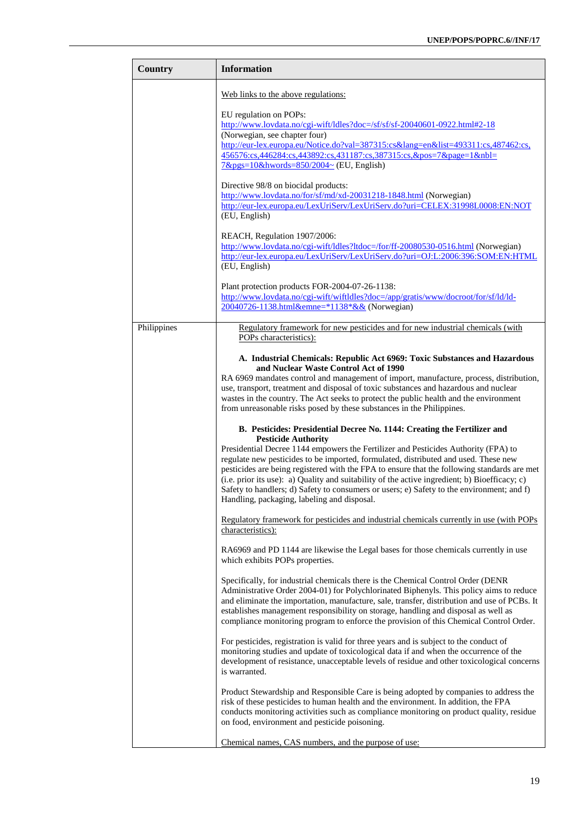| <b>Country</b> | <b>Information</b>                                                                                                                                                                                                                                                                                                                                                                                                                                                                                                                                                                                                                                                                                                                                                                                                                                            |
|----------------|---------------------------------------------------------------------------------------------------------------------------------------------------------------------------------------------------------------------------------------------------------------------------------------------------------------------------------------------------------------------------------------------------------------------------------------------------------------------------------------------------------------------------------------------------------------------------------------------------------------------------------------------------------------------------------------------------------------------------------------------------------------------------------------------------------------------------------------------------------------|
|                | Web links to the above regulations:                                                                                                                                                                                                                                                                                                                                                                                                                                                                                                                                                                                                                                                                                                                                                                                                                           |
|                | EU regulation on POPs:<br>http://www.lovdata.no/cgi-wift/ldles?doc=/sf/sf/sf-20040601-0922.html#2-18<br>(Norwegian, see chapter four)<br>http://eur-lex.europa.eu/Notice.do?val=387315:cs⟨=en&list=493311:cs,487462:cs,<br>456576:cs,446284:cs,443892:cs,431187:cs,387315:cs,&pos=7&page=1&nbl=<br>$7\&pgs=10\&hwords=850/2004\sim$ (EU, English)                                                                                                                                                                                                                                                                                                                                                                                                                                                                                                             |
|                | Directive 98/8 on biocidal products:<br>http://www.lovdata.no/for/sf/md/xd-20031218-1848.html (Norwegian)<br>http://eur-lex.europa.eu/LexUriServ/LexUriServ.do?uri=CELEX:31998L0008:EN:NOT<br>(EU, English)                                                                                                                                                                                                                                                                                                                                                                                                                                                                                                                                                                                                                                                   |
|                | REACH, Regulation 1907/2006:<br>http://www.lovdata.no/cgi-wift/ldles?ltdoc=/for/ff-20080530-0516.html (Norwegian)<br>http://eur-lex.europa.eu/LexUriServ/LexUriServ.do?uri=OJ:L:2006:396:SOM:EN:HTML<br>(EU, English)                                                                                                                                                                                                                                                                                                                                                                                                                                                                                                                                                                                                                                         |
|                | Plant protection products FOR-2004-07-26-1138:<br>http://www.lovdata.no/cgi-wift/wiftldles?doc=/app/gratis/www/docroot/for/sf/ld/ld-<br>20040726-1138.html&emne=*1138*&& (Norwegian)                                                                                                                                                                                                                                                                                                                                                                                                                                                                                                                                                                                                                                                                          |
| Philippines    | Regulatory framework for new pesticides and for new industrial chemicals (with<br>POPs characteristics):                                                                                                                                                                                                                                                                                                                                                                                                                                                                                                                                                                                                                                                                                                                                                      |
|                | A. Industrial Chemicals: Republic Act 6969: Toxic Substances and Hazardous<br>and Nuclear Waste Control Act of 1990<br>RA 6969 mandates control and management of import, manufacture, process, distribution,<br>use, transport, treatment and disposal of toxic substances and hazardous and nuclear<br>wastes in the country. The Act seeks to protect the public health and the environment<br>from unreasonable risks posed by these substances in the Philippines.<br>B. Pesticides: Presidential Decree No. 1144: Creating the Fertilizer and<br><b>Pesticide Authority</b><br>Presidential Decree 1144 empowers the Fertilizer and Pesticides Authority (FPA) to<br>regulate new pesticides to be imported, formulated, distributed and used. These new<br>pesticides are being registered with the FPA to ensure that the following standards are met |
|                | (i.e. prior its use): a) Quality and suitability of the active ingredient; b) Bioefficacy; c)<br>Safety to handlers; d) Safety to consumers or users; e) Safety to the environment; and f)<br>Handling, packaging, labeling and disposal.                                                                                                                                                                                                                                                                                                                                                                                                                                                                                                                                                                                                                     |
|                | Regulatory framework for pesticides and industrial chemicals currently in use (with POPs<br>characteristics):                                                                                                                                                                                                                                                                                                                                                                                                                                                                                                                                                                                                                                                                                                                                                 |
|                | RA6969 and PD 1144 are likewise the Legal bases for those chemicals currently in use<br>which exhibits POPs properties.                                                                                                                                                                                                                                                                                                                                                                                                                                                                                                                                                                                                                                                                                                                                       |
|                | Specifically, for industrial chemicals there is the Chemical Control Order (DENR<br>Administrative Order 2004-01) for Polychlorinated Biphenyls. This policy aims to reduce<br>and eliminate the importation, manufacture, sale, transfer, distribution and use of PCBs. It<br>establishes management responsibility on storage, handling and disposal as well as<br>compliance monitoring program to enforce the provision of this Chemical Control Order.                                                                                                                                                                                                                                                                                                                                                                                                   |
|                | For pesticides, registration is valid for three years and is subject to the conduct of<br>monitoring studies and update of toxicological data if and when the occurrence of the<br>development of resistance, unacceptable levels of residue and other toxicological concerns<br>is warranted.                                                                                                                                                                                                                                                                                                                                                                                                                                                                                                                                                                |
|                | Product Stewardship and Responsible Care is being adopted by companies to address the<br>risk of these pesticides to human health and the environment. In addition, the FPA<br>conducts monitoring activities such as compliance monitoring on product quality, residue<br>on food, environment and pesticide poisoning.                                                                                                                                                                                                                                                                                                                                                                                                                                                                                                                                      |
|                | Chemical names, CAS numbers, and the purpose of use:                                                                                                                                                                                                                                                                                                                                                                                                                                                                                                                                                                                                                                                                                                                                                                                                          |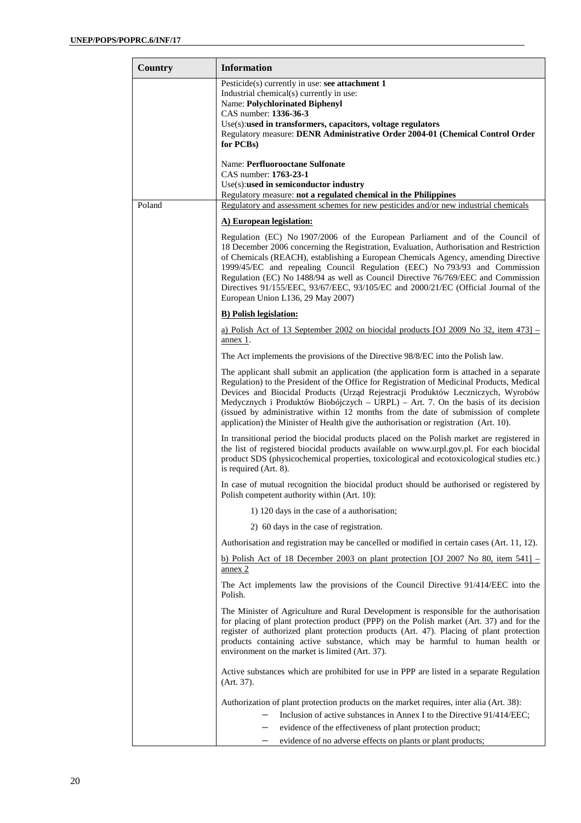| Country | <b>Information</b>                                                                                                                                                                                                                                                                                                                                                                                                                                                                                                                                            |
|---------|---------------------------------------------------------------------------------------------------------------------------------------------------------------------------------------------------------------------------------------------------------------------------------------------------------------------------------------------------------------------------------------------------------------------------------------------------------------------------------------------------------------------------------------------------------------|
|         | Pesticide(s) currently in use: see attachment 1<br>Industrial chemical(s) currently in use:<br><b>Name: Polychlorinated Biphenyl</b><br>CAS number: 1336-36-3<br>Use(s):used in transformers, capacitors, voltage regulators<br>Regulatory measure: DENR Administrative Order 2004-01 (Chemical Control Order<br>for PCBs)                                                                                                                                                                                                                                    |
|         | Name: Perfluorooctane Sulfonate<br>CAS number: 1763-23-1                                                                                                                                                                                                                                                                                                                                                                                                                                                                                                      |
|         | Use(s):used in semiconductor industry<br>Regulatory measure: not a regulated chemical in the Philippines                                                                                                                                                                                                                                                                                                                                                                                                                                                      |
| Poland  | Regulatory and assessment schemes for new pesticides and/or new industrial chemicals                                                                                                                                                                                                                                                                                                                                                                                                                                                                          |
|         | A) European legislation:                                                                                                                                                                                                                                                                                                                                                                                                                                                                                                                                      |
|         | Regulation (EC) No 1907/2006 of the European Parliament and of the Council of<br>18 December 2006 concerning the Registration, Evaluation, Authorisation and Restriction<br>of Chemicals (REACH), establishing a European Chemicals Agency, amending Directive<br>1999/45/EC and repealing Council Regulation (EEC) No 793/93 and Commission<br>Regulation (EC) No 1488/94 as well as Council Directive 76/769/EEC and Commission<br>Directives 91/155/EEC, 93/67/EEC, 93/105/EC and 2000/21/EC (Official Journal of the<br>European Union L136, 29 May 2007) |
|         | <b>B)</b> Polish legislation:                                                                                                                                                                                                                                                                                                                                                                                                                                                                                                                                 |
|         | a) Polish Act of 13 September 2002 on biocidal products [OJ 2009 No 32, item $473$ ] –<br>annex 1.                                                                                                                                                                                                                                                                                                                                                                                                                                                            |
|         | The Act implements the provisions of the Directive 98/8/EC into the Polish law.                                                                                                                                                                                                                                                                                                                                                                                                                                                                               |
|         | The applicant shall submit an application (the application form is attached in a separate<br>Regulation) to the President of the Office for Registration of Medicinal Products, Medical<br>Devices and Biocidal Products (Urząd Rejestracji Produktów Leczniczych, Wyrobów<br>Medycznych i Produktów Biobójczych – URPL) – Art. 7. On the basis of its decision<br>(issued by administrative within 12 months from the date of submission of complete<br>application) the Minister of Health give the authorisation or registration (Art. 10).                |
|         | In transitional period the biocidal products placed on the Polish market are registered in<br>the list of registered biocidal products available on www.urpl.gov.pl. For each biocidal<br>product SDS (physicochemical properties, toxicological and ecotoxicological studies etc.)<br>is required (Art. 8).                                                                                                                                                                                                                                                  |
|         | In case of mutual recognition the biocidal product should be authorised or registered by<br>Polish competent authority within (Art. 10):                                                                                                                                                                                                                                                                                                                                                                                                                      |
|         | 1) 120 days in the case of a authorisation;                                                                                                                                                                                                                                                                                                                                                                                                                                                                                                                   |
|         | 2) 60 days in the case of registration.                                                                                                                                                                                                                                                                                                                                                                                                                                                                                                                       |
|         | Authorisation and registration may be cancelled or modified in certain cases (Art. 11, 12).                                                                                                                                                                                                                                                                                                                                                                                                                                                                   |
|         | b) Polish Act of 18 December 2003 on plant protection [OJ 2007 No 80, item $541$ ] –<br>annex 2                                                                                                                                                                                                                                                                                                                                                                                                                                                               |
|         | The Act implements law the provisions of the Council Directive 91/414/EEC into the<br>Polish.                                                                                                                                                                                                                                                                                                                                                                                                                                                                 |
|         | The Minister of Agriculture and Rural Development is responsible for the authorisation<br>for placing of plant protection product (PPP) on the Polish market (Art. 37) and for the<br>register of authorized plant protection products (Art. 47). Placing of plant protection<br>products containing active substance, which may be harmful to human health or<br>environment on the market is limited (Art. 37).                                                                                                                                             |
|         | Active substances which are prohibited for use in PPP are listed in a separate Regulation<br>(Art. 37).                                                                                                                                                                                                                                                                                                                                                                                                                                                       |
|         | Authorization of plant protection products on the market requires, inter alia (Art. 38):                                                                                                                                                                                                                                                                                                                                                                                                                                                                      |
|         | Inclusion of active substances in Annex I to the Directive 91/414/EEC;                                                                                                                                                                                                                                                                                                                                                                                                                                                                                        |
|         | evidence of the effectiveness of plant protection product;                                                                                                                                                                                                                                                                                                                                                                                                                                                                                                    |
|         | evidence of no adverse effects on plants or plant products;                                                                                                                                                                                                                                                                                                                                                                                                                                                                                                   |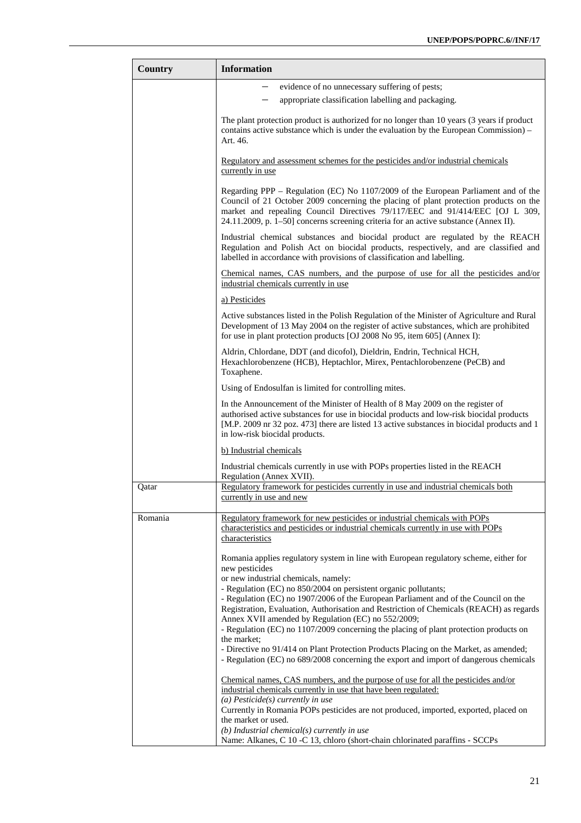| Country | <b>Information</b>                                                                                                                                                                                                                                                                                                                                  |
|---------|-----------------------------------------------------------------------------------------------------------------------------------------------------------------------------------------------------------------------------------------------------------------------------------------------------------------------------------------------------|
|         | evidence of no unnecessary suffering of pests;                                                                                                                                                                                                                                                                                                      |
|         | appropriate classification labelling and packaging.                                                                                                                                                                                                                                                                                                 |
|         | The plant protection product is authorized for no longer than 10 years (3 years if product<br>contains active substance which is under the evaluation by the European Commission) -<br>Art. 46.                                                                                                                                                     |
|         | Regulatory and assessment schemes for the pesticides and/or industrial chemicals<br>currently in use                                                                                                                                                                                                                                                |
|         | Regarding PPP – Regulation (EC) No 1107/2009 of the European Parliament and of the<br>Council of 21 October 2009 concerning the placing of plant protection products on the<br>market and repealing Council Directives 79/117/EEC and 91/414/EEC [OJ L 309,<br>24.11.2009, p. 1–50] concerns screening criteria for an active substance (Annex II). |
|         | Industrial chemical substances and biocidal product are regulated by the REACH<br>Regulation and Polish Act on biocidal products, respectively, and are classified and<br>labelled in accordance with provisions of classification and labelling.                                                                                                   |
|         | Chemical names, CAS numbers, and the purpose of use for all the pesticides and/or<br>industrial chemicals currently in use                                                                                                                                                                                                                          |
|         | a) Pesticides                                                                                                                                                                                                                                                                                                                                       |
|         | Active substances listed in the Polish Regulation of the Minister of Agriculture and Rural<br>Development of 13 May 2004 on the register of active substances, which are prohibited<br>for use in plant protection products [OJ 2008 No 95, item 605] (Annex I):                                                                                    |
|         | Aldrin, Chlordane, DDT (and dicofol), Dieldrin, Endrin, Technical HCH,<br>Hexachlorobenzene (HCB), Heptachlor, Mirex, Pentachlorobenzene (PeCB) and<br>Toxaphene.                                                                                                                                                                                   |
|         | Using of Endosulfan is limited for controlling mites.                                                                                                                                                                                                                                                                                               |
|         | In the Announcement of the Minister of Health of 8 May 2009 on the register of<br>authorised active substances for use in biocidal products and low-risk biocidal products<br>[M.P. 2009 nr 32 poz. 473] there are listed 13 active substances in biocidal products and 1<br>in low-risk biocidal products.                                         |
|         | b) Industrial chemicals                                                                                                                                                                                                                                                                                                                             |
|         | Industrial chemicals currently in use with POPs properties listed in the REACH<br>Regulation (Annex XVII).                                                                                                                                                                                                                                          |
| Qatar   | Regulatory framework for pesticides currently in use and industrial chemicals both<br>currently in use and new                                                                                                                                                                                                                                      |
| Romania | Regulatory framework for new pesticides or industrial chemicals with POPs                                                                                                                                                                                                                                                                           |
|         | characteristics and pesticides or industrial chemicals currently in use with POPs<br>characteristics                                                                                                                                                                                                                                                |
|         | Romania applies regulatory system in line with European regulatory scheme, either for<br>new pesticides<br>or new industrial chemicals, namely:                                                                                                                                                                                                     |
|         | - Regulation (EC) no 850/2004 on persistent organic pollutants;                                                                                                                                                                                                                                                                                     |
|         | - Regulation (EC) no 1907/2006 of the European Parliament and of the Council on the<br>Registration, Evaluation, Authorisation and Restriction of Chemicals (REACH) as regards                                                                                                                                                                      |
|         | Annex XVII amended by Regulation (EC) no 552/2009;                                                                                                                                                                                                                                                                                                  |
|         | - Regulation (EC) no 1107/2009 concerning the placing of plant protection products on                                                                                                                                                                                                                                                               |
|         | the market;<br>- Directive no 91/414 on Plant Protection Products Placing on the Market, as amended;<br>- Regulation (EC) no 689/2008 concerning the export and import of dangerous chemicals                                                                                                                                                       |
|         | <u>Chemical names, CAS numbers, and the purpose of use for all the pesticides and/or</u>                                                                                                                                                                                                                                                            |
|         | industrial chemicals currently in use that have been regulated:                                                                                                                                                                                                                                                                                     |
|         | (a) Pesticide(s) currently in use<br>Currently in Romania POPs pesticides are not produced, imported, exported, placed on<br>the market or used.                                                                                                                                                                                                    |
|         | $(b)$ Industrial chemical $(s)$ currently in use<br>Name: Alkanes, C 10 -C 13, chloro (short-chain chlorinated paraffins - SCCPs                                                                                                                                                                                                                    |
|         |                                                                                                                                                                                                                                                                                                                                                     |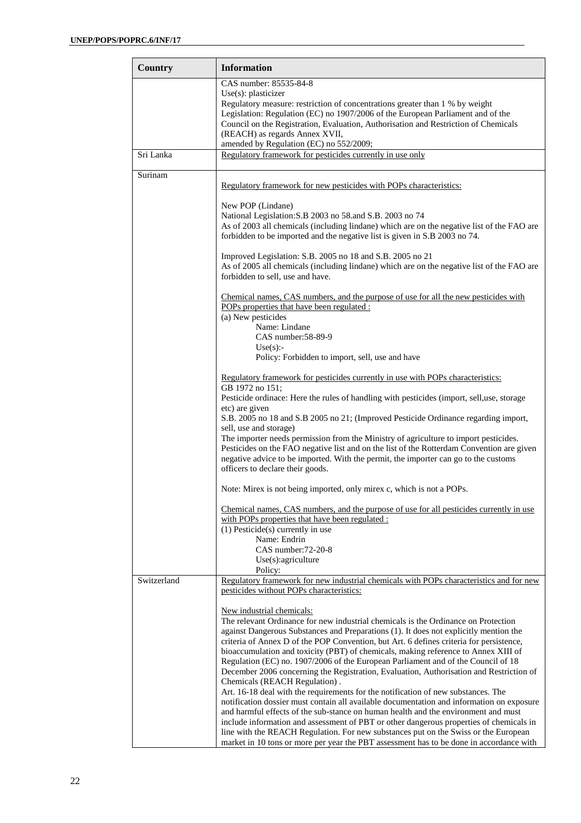| Country     | <b>Information</b>                                                                                                                                                                                                                                                                                                                                                                                                                                                                                                                                                                                                                                                                                                                                                                                                                                                                                                                                                                                                                                                   |
|-------------|----------------------------------------------------------------------------------------------------------------------------------------------------------------------------------------------------------------------------------------------------------------------------------------------------------------------------------------------------------------------------------------------------------------------------------------------------------------------------------------------------------------------------------------------------------------------------------------------------------------------------------------------------------------------------------------------------------------------------------------------------------------------------------------------------------------------------------------------------------------------------------------------------------------------------------------------------------------------------------------------------------------------------------------------------------------------|
|             | CAS number: 85535-84-8<br>Use $(s)$ : plasticizer<br>Regulatory measure: restriction of concentrations greater than 1 % by weight<br>Legislation: Regulation (EC) no 1907/2006 of the European Parliament and of the<br>Council on the Registration, Evaluation, Authorisation and Restriction of Chemicals<br>(REACH) as regards Annex XVII,<br>amended by Regulation (EC) no 552/2009;                                                                                                                                                                                                                                                                                                                                                                                                                                                                                                                                                                                                                                                                             |
| Sri Lanka   | Regulatory framework for pesticides currently in use only                                                                                                                                                                                                                                                                                                                                                                                                                                                                                                                                                                                                                                                                                                                                                                                                                                                                                                                                                                                                            |
| Surinam     | Regulatory framework for new pesticides with POPs characteristics:                                                                                                                                                                                                                                                                                                                                                                                                                                                                                                                                                                                                                                                                                                                                                                                                                                                                                                                                                                                                   |
|             | New POP (Lindane)<br>National Legislation: S.B 2003 no 58.and S.B. 2003 no 74<br>As of 2003 all chemicals (including lindane) which are on the negative list of the FAO are<br>forbidden to be imported and the negative list is given in S.B 2003 no 74.                                                                                                                                                                                                                                                                                                                                                                                                                                                                                                                                                                                                                                                                                                                                                                                                            |
|             | Improved Legislation: S.B. 2005 no 18 and S.B. 2005 no 21<br>As of 2005 all chemicals (including lindane) which are on the negative list of the FAO are<br>forbidden to sell, use and have.                                                                                                                                                                                                                                                                                                                                                                                                                                                                                                                                                                                                                                                                                                                                                                                                                                                                          |
|             | Chemical names, CAS numbers, and the purpose of use for all the new pesticides with<br>POPs properties that have been regulated :                                                                                                                                                                                                                                                                                                                                                                                                                                                                                                                                                                                                                                                                                                                                                                                                                                                                                                                                    |
|             | (a) New pesticides<br>Name: Lindane<br>CAS number: 58-89-9<br>Use(s):<br>Policy: Forbidden to import, sell, use and have                                                                                                                                                                                                                                                                                                                                                                                                                                                                                                                                                                                                                                                                                                                                                                                                                                                                                                                                             |
|             | Regulatory framework for pesticides currently in use with POPs characteristics:<br>GB 1972 no 151;                                                                                                                                                                                                                                                                                                                                                                                                                                                                                                                                                                                                                                                                                                                                                                                                                                                                                                                                                                   |
|             | Pesticide ordinace: Here the rules of handling with pesticides (import, sell,use, storage<br>etc) are given                                                                                                                                                                                                                                                                                                                                                                                                                                                                                                                                                                                                                                                                                                                                                                                                                                                                                                                                                          |
|             | S.B. 2005 no 18 and S.B 2005 no 21; (Improved Pesticide Ordinance regarding import,<br>sell, use and storage)<br>The importer needs permission from the Ministry of agriculture to import pesticides.<br>Pesticides on the FAO negative list and on the list of the Rotterdam Convention are given<br>negative advice to be imported. With the permit, the importer can go to the customs<br>officers to declare their goods.                                                                                                                                                                                                                                                                                                                                                                                                                                                                                                                                                                                                                                        |
|             | Note: Mirex is not being imported, only mirex c, which is not a POPs.                                                                                                                                                                                                                                                                                                                                                                                                                                                                                                                                                                                                                                                                                                                                                                                                                                                                                                                                                                                                |
|             | Chemical names, CAS numbers, and the purpose of use for all pesticides currently in use<br>with POPs properties that have been regulated :<br>$(1)$ Pesticide $(s)$ currently in use                                                                                                                                                                                                                                                                                                                                                                                                                                                                                                                                                                                                                                                                                                                                                                                                                                                                                 |
|             | Name: Endrin<br>CAS number: 72-20-8<br>Use(s):agriculture<br>Policy:                                                                                                                                                                                                                                                                                                                                                                                                                                                                                                                                                                                                                                                                                                                                                                                                                                                                                                                                                                                                 |
| Switzerland | Regulatory framework for new industrial chemicals with POPs characteristics and for new<br>pesticides without POPs characteristics:                                                                                                                                                                                                                                                                                                                                                                                                                                                                                                                                                                                                                                                                                                                                                                                                                                                                                                                                  |
|             | New industrial chemicals:<br>The relevant Ordinance for new industrial chemicals is the Ordinance on Protection<br>against Dangerous Substances and Preparations (1). It does not explicitly mention the<br>criteria of Annex D of the POP Convention, but Art. 6 defines criteria for persistence,<br>bioaccumulation and toxicity (PBT) of chemicals, making reference to Annex XIII of<br>Regulation (EC) no. 1907/2006 of the European Parliament and of the Council of 18<br>December 2006 concerning the Registration, Evaluation, Authorisation and Restriction of<br>Chemicals (REACH Regulation).<br>Art. 16-18 deal with the requirements for the notification of new substances. The<br>notification dossier must contain all available documentation and information on exposure<br>and harmful effects of the sub-stance on human health and the environment and must<br>include information and assessment of PBT or other dangerous properties of chemicals in<br>line with the REACH Regulation. For new substances put on the Swiss or the European |
|             | market in 10 tons or more per year the PBT assessment has to be done in accordance with                                                                                                                                                                                                                                                                                                                                                                                                                                                                                                                                                                                                                                                                                                                                                                                                                                                                                                                                                                              |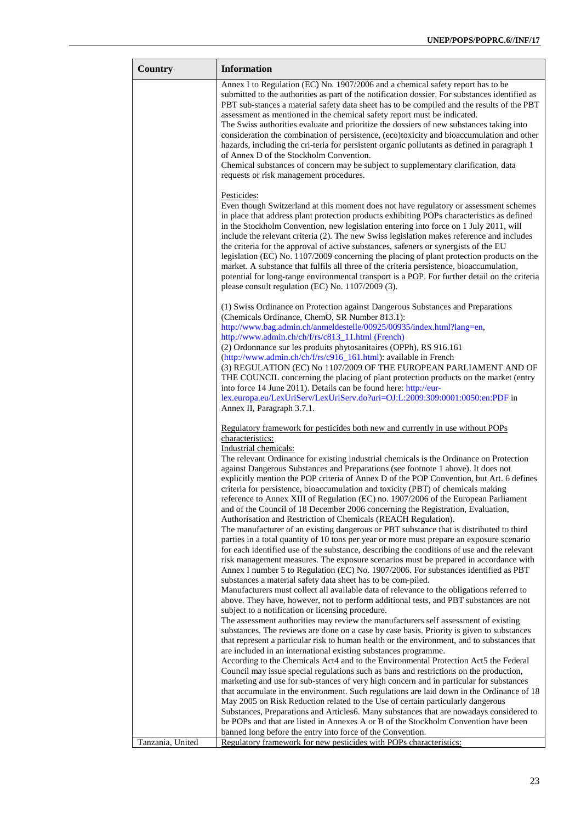| Country          | <b>Information</b>                                                                                                                                                                                                                                                                                                                                                                                                                                                                                                                                                                                                                                                                                                                                                                                                                                                                                                                                                                                                                                                                                                                                                                                                                                                                                                                                                                                                                                                                                                                                                                                                                                                                                            |
|------------------|---------------------------------------------------------------------------------------------------------------------------------------------------------------------------------------------------------------------------------------------------------------------------------------------------------------------------------------------------------------------------------------------------------------------------------------------------------------------------------------------------------------------------------------------------------------------------------------------------------------------------------------------------------------------------------------------------------------------------------------------------------------------------------------------------------------------------------------------------------------------------------------------------------------------------------------------------------------------------------------------------------------------------------------------------------------------------------------------------------------------------------------------------------------------------------------------------------------------------------------------------------------------------------------------------------------------------------------------------------------------------------------------------------------------------------------------------------------------------------------------------------------------------------------------------------------------------------------------------------------------------------------------------------------------------------------------------------------|
|                  | Annex I to Regulation (EC) No. 1907/2006 and a chemical safety report has to be<br>submitted to the authorities as part of the notification dossier. For substances identified as<br>PBT sub-stances a material safety data sheet has to be compiled and the results of the PBT<br>assessment as mentioned in the chemical safety report must be indicated.<br>The Swiss authorities evaluate and prioritize the dossiers of new substances taking into<br>consideration the combination of persistence, (eco)toxicity and bioaccumulation and other<br>hazards, including the cri-teria for persistent organic pollutants as defined in paragraph 1<br>of Annex D of the Stockholm Convention.<br>Chemical substances of concern may be subject to supplementary clarification, data<br>requests or risk management procedures.                                                                                                                                                                                                                                                                                                                                                                                                                                                                                                                                                                                                                                                                                                                                                                                                                                                                              |
|                  | Pesticides:<br>Even though Switzerland at this moment does not have regulatory or assessment schemes<br>in place that address plant protection products exhibiting POPs characteristics as defined<br>in the Stockholm Convention, new legislation entering into force on 1 July 2011, will<br>include the relevant criteria (2). The new Swiss legislation makes reference and includes<br>the criteria for the approval of active substances, safeners or synergists of the EU<br>legislation (EC) No. 1107/2009 concerning the placing of plant protection products on the<br>market. A substance that fulfils all three of the criteria persistence, bioaccumulation,<br>potential for long-range environmental transport is a POP. For further detail on the criteria<br>please consult regulation (EC) No. 1107/2009 (3).                                                                                                                                                                                                                                                                                                                                                                                                                                                                                                                                                                                                                                                                                                                                                                                                                                                                               |
|                  | (1) Swiss Ordinance on Protection against Dangerous Substances and Preparations<br>(Chemicals Ordinance, ChemO, SR Number 813.1):<br>http://www.bag.admin.ch/anmeldestelle/00925/00935/index.html?lang=en,<br>http://www.admin.ch/ch/f/rs/c813_11.html (French)<br>(2) Ordonnance sur les produits phytosanitaires (OPPh), RS 916.161<br>(http://www.admin.ch/ch/f/rs/c916_161.html): available in French<br>(3) REGULATION (EC) No 1107/2009 OF THE EUROPEAN PARLIAMENT AND OF<br>THE COUNCIL concerning the placing of plant protection products on the market (entry<br>into force 14 June 2011). Details can be found here: http://eur-<br>lex.europa.eu/LexUriServ/LexUriServ.do?uri=OJ:L:2009:309:0001:0050:en:PDF in<br>Annex II, Paragraph 3.7.1.                                                                                                                                                                                                                                                                                                                                                                                                                                                                                                                                                                                                                                                                                                                                                                                                                                                                                                                                                     |
|                  | Regulatory framework for pesticides both new and currently in use without POPs<br>characteristics:<br>Industrial chemicals:<br>The relevant Ordinance for existing industrial chemicals is the Ordinance on Protection<br>against Dangerous Substances and Preparations (see footnote 1 above). It does not<br>explicitly mention the POP criteria of Annex D of the POP Convention, but Art. 6 defines<br>criteria for persistence, bioaccumulation and toxicity (PBT) of chemicals making<br>reference to Annex XIII of Regulation (EC) no. 1907/2006 of the European Parliament<br>and of the Council of 18 December 2006 concerning the Registration, Evaluation,<br>Authorisation and Restriction of Chemicals (REACH Regulation).<br>The manufacturer of an existing dangerous or PBT substance that is distributed to third<br>parties in a total quantity of 10 tons per year or more must prepare an exposure scenario<br>for each identified use of the substance, describing the conditions of use and the relevant<br>risk management measures. The exposure scenarios must be prepared in accordance with<br>Annex I number 5 to Regulation (EC) No. 1907/2006. For substances identified as PBT<br>substances a material safety data sheet has to be com-piled.<br>Manufacturers must collect all available data of relevance to the obligations referred to<br>above. They have, however, not to perform additional tests, and PBT substances are not<br>subject to a notification or licensing procedure.<br>The assessment authorities may review the manufacturers self assessment of existing<br>substances. The reviews are done on a case by case basis. Priority is given to substances |
|                  | that represent a particular risk to human health or the environment, and to substances that<br>are included in an international existing substances programme.<br>According to the Chemicals Act4 and to the Environmental Protection Act5 the Federal<br>Council may issue special regulations such as bans and restrictions on the production,<br>marketing and use for sub-stances of very high concern and in particular for substances<br>that accumulate in the environment. Such regulations are laid down in the Ordinance of 18<br>May 2005 on Risk Reduction related to the Use of certain particularly dangerous<br>Substances, Preparations and Articles6. Many substances that are nowadays considered to<br>be POPs and that are listed in Annexes A or B of the Stockholm Convention have been<br>banned long before the entry into force of the Convention.                                                                                                                                                                                                                                                                                                                                                                                                                                                                                                                                                                                                                                                                                                                                                                                                                                   |
| Tanzania, United | Regulatory framework for new pesticides with POPs characteristics:                                                                                                                                                                                                                                                                                                                                                                                                                                                                                                                                                                                                                                                                                                                                                                                                                                                                                                                                                                                                                                                                                                                                                                                                                                                                                                                                                                                                                                                                                                                                                                                                                                            |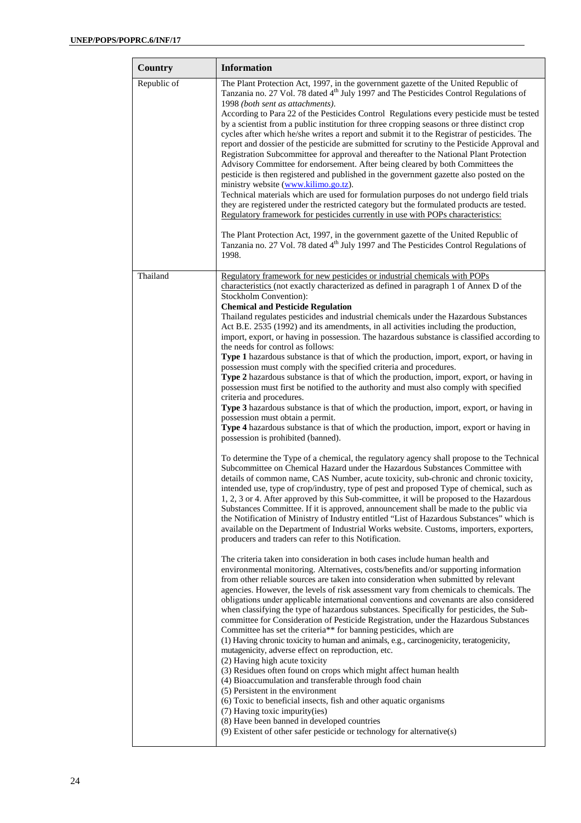| Country     | <b>Information</b>                                                                                                                                                                                                                                                                                                                                                                                                                                                                                                                                                                                                                                                                                                                                                                                                                                                                                                                                                                                                                                                                                                                                                                                                                                                                                                                                                                                                                                                                                                                                                                                                                                                                                                                                                                                                                                                                                                                                            |
|-------------|---------------------------------------------------------------------------------------------------------------------------------------------------------------------------------------------------------------------------------------------------------------------------------------------------------------------------------------------------------------------------------------------------------------------------------------------------------------------------------------------------------------------------------------------------------------------------------------------------------------------------------------------------------------------------------------------------------------------------------------------------------------------------------------------------------------------------------------------------------------------------------------------------------------------------------------------------------------------------------------------------------------------------------------------------------------------------------------------------------------------------------------------------------------------------------------------------------------------------------------------------------------------------------------------------------------------------------------------------------------------------------------------------------------------------------------------------------------------------------------------------------------------------------------------------------------------------------------------------------------------------------------------------------------------------------------------------------------------------------------------------------------------------------------------------------------------------------------------------------------------------------------------------------------------------------------------------------------|
| Republic of | The Plant Protection Act, 1997, in the government gazette of the United Republic of<br>Tanzania no. 27 Vol. 78 dated 4 <sup>th</sup> July 1997 and The Pesticides Control Regulations of<br>1998 (both sent as attachments).<br>According to Para 22 of the Pesticides Control Regulations every pesticide must be tested<br>by a scientist from a public institution for three cropping seasons or three distinct crop<br>cycles after which he/she writes a report and submit it to the Registrar of pesticides. The<br>report and dossier of the pesticide are submitted for scrutiny to the Pesticide Approval and<br>Registration Subcommittee for approval and thereafter to the National Plant Protection<br>Advisory Committee for endorsement. After being cleared by both Committees the<br>pesticide is then registered and published in the government gazette also posted on the<br>ministry website (www.kilimo.go.tz).<br>Technical materials which are used for formulation purposes do not undergo field trials<br>they are registered under the restricted category but the formulated products are tested.<br>Regulatory framework for pesticides currently in use with POPs characteristics:<br>The Plant Protection Act, 1997, in the government gazette of the United Republic of<br>Tanzania no. 27 Vol. 78 dated 4 <sup>th</sup> July 1997 and The Pesticides Control Regulations of<br>1998.                                                                                                                                                                                                                                                                                                                                                                                                                                                                                                                                         |
| Thailand    | Regulatory framework for new pesticides or industrial chemicals with POPs                                                                                                                                                                                                                                                                                                                                                                                                                                                                                                                                                                                                                                                                                                                                                                                                                                                                                                                                                                                                                                                                                                                                                                                                                                                                                                                                                                                                                                                                                                                                                                                                                                                                                                                                                                                                                                                                                     |
|             | characteristics (not exactly characterized as defined in paragraph 1 of Annex D of the<br>Stockholm Convention):<br><b>Chemical and Pesticide Regulation</b><br>Thailand regulates pesticides and industrial chemicals under the Hazardous Substances<br>Act B.E. 2535 (1992) and its amendments, in all activities including the production,<br>import, export, or having in possession. The hazardous substance is classified according to<br>the needs for control as follows:<br><b>Type 1</b> hazardous substance is that of which the production, import, export, or having in<br>possession must comply with the specified criteria and procedures.<br>Type 2 hazardous substance is that of which the production, import, export, or having in<br>possession must first be notified to the authority and must also comply with specified<br>criteria and procedures.<br>Type 3 hazardous substance is that of which the production, import, export, or having in<br>possession must obtain a permit.<br><b>Type 4</b> hazardous substance is that of which the production, import, export or having in<br>possession is prohibited (banned).<br>To determine the Type of a chemical, the regulatory agency shall propose to the Technical<br>Subcommittee on Chemical Hazard under the Hazardous Substances Committee with<br>details of common name, CAS Number, acute toxicity, sub-chronic and chronic toxicity,<br>intended use, type of crop/industry, type of pest and proposed Type of chemical, such as<br>1, 2, 3 or 4. After approved by this Sub-committee, it will be proposed to the Hazardous<br>Substances Committee. If it is approved, announcement shall be made to the public via<br>the Notification of Ministry of Industry entitled "List of Hazardous Substances" which is<br>available on the Department of Industrial Works website. Customs, importers, exporters,<br>producers and traders can refer to this Notification. |
|             | The criteria taken into consideration in both cases include human health and<br>environmental monitoring. Alternatives, costs/benefits and/or supporting information<br>from other reliable sources are taken into consideration when submitted by relevant<br>agencies. However, the levels of risk assessment vary from chemicals to chemicals. The<br>obligations under applicable international conventions and covenants are also considered<br>when classifying the type of hazardous substances. Specifically for pesticides, the Sub-<br>committee for Consideration of Pesticide Registration, under the Hazardous Substances<br>Committee has set the criteria** for banning pesticides, which are<br>(1) Having chronic toxicity to human and animals, e.g., carcinogenicity, teratogenicity,<br>mutagenicity, adverse effect on reproduction, etc.<br>(2) Having high acute toxicity<br>(3) Residues often found on crops which might affect human health<br>(4) Bioaccumulation and transferable through food chain<br>(5) Persistent in the environment<br>(6) Toxic to beneficial insects, fish and other aquatic organisms<br>(7) Having toxic impurity(ies)<br>(8) Have been banned in developed countries<br>(9) Existent of other safer pesticide or technology for alternative(s)                                                                                                                                                                                                                                                                                                                                                                                                                                                                                                                                                                                                                                                         |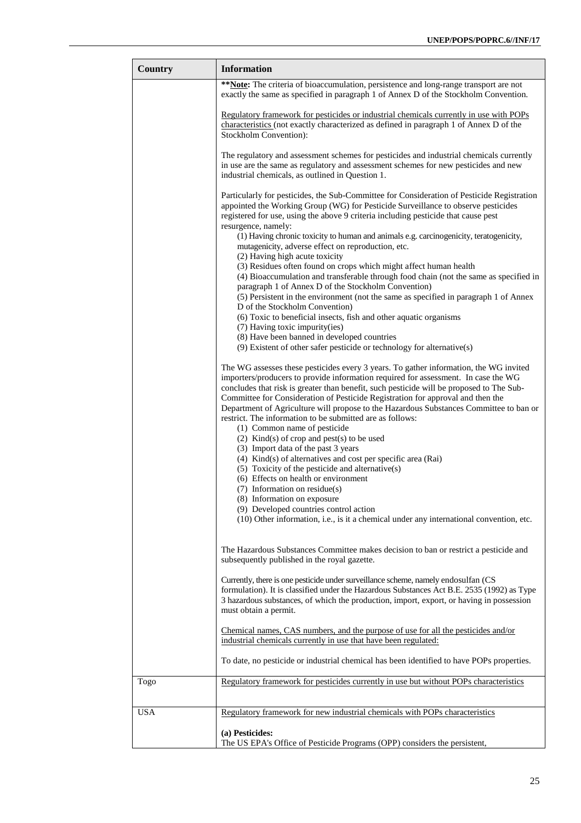| Country    | <b>Information</b>                                                                                                                                                                                                                                                                                                                                                                                                                                                                                                |
|------------|-------------------------------------------------------------------------------------------------------------------------------------------------------------------------------------------------------------------------------------------------------------------------------------------------------------------------------------------------------------------------------------------------------------------------------------------------------------------------------------------------------------------|
|            | ** Note: The criteria of bioaccumulation, persistence and long-range transport are not<br>exactly the same as specified in paragraph 1 of Annex D of the Stockholm Convention.                                                                                                                                                                                                                                                                                                                                    |
|            | Regulatory framework for pesticides or industrial chemicals currently in use with POPs<br>characteristics (not exactly characterized as defined in paragraph 1 of Annex D of the<br>Stockholm Convention):                                                                                                                                                                                                                                                                                                        |
|            | The regulatory and assessment schemes for pesticides and industrial chemicals currently<br>in use are the same as regulatory and assessment schemes for new pesticides and new<br>industrial chemicals, as outlined in Question 1.                                                                                                                                                                                                                                                                                |
|            | Particularly for pesticides, the Sub-Committee for Consideration of Pesticide Registration<br>appointed the Working Group (WG) for Pesticide Surveillance to observe pesticides<br>registered for use, using the above 9 criteria including pesticide that cause pest<br>resurgence, namely:                                                                                                                                                                                                                      |
|            | (1) Having chronic toxicity to human and animals e.g. carcinogenicity, teratogenicity,<br>mutagenicity, adverse effect on reproduction, etc.<br>(2) Having high acute toxicity                                                                                                                                                                                                                                                                                                                                    |
|            | (3) Residues often found on crops which might affect human health<br>(4) Bioaccumulation and transferable through food chain (not the same as specified in<br>paragraph 1 of Annex D of the Stockholm Convention)                                                                                                                                                                                                                                                                                                 |
|            | (5) Persistent in the environment (not the same as specified in paragraph 1 of Annex<br>D of the Stockholm Convention<br>(6) Toxic to beneficial insects, fish and other aquatic organisms                                                                                                                                                                                                                                                                                                                        |
|            | (7) Having toxic impurity(ies)<br>(8) Have been banned in developed countries                                                                                                                                                                                                                                                                                                                                                                                                                                     |
|            | (9) Existent of other safer pesticide or technology for alternative(s)                                                                                                                                                                                                                                                                                                                                                                                                                                            |
|            | The WG assesses these pesticides every 3 years. To gather information, the WG invited<br>importers/producers to provide information required for assessment. In case the WG<br>concludes that risk is greater than benefit, such pesticide will be proposed to The Sub-<br>Committee for Consideration of Pesticide Registration for approval and then the<br>Department of Agriculture will propose to the Hazardous Substances Committee to ban or<br>restrict. The information to be submitted are as follows: |
|            | (1) Common name of pesticide<br>$(2)$ Kind(s) of crop and pest(s) to be used                                                                                                                                                                                                                                                                                                                                                                                                                                      |
|            | (3) Import data of the past 3 years                                                                                                                                                                                                                                                                                                                                                                                                                                                                               |
|            | $(4)$ Kind(s) of alternatives and cost per specific area (Rai)                                                                                                                                                                                                                                                                                                                                                                                                                                                    |
|            | (5) Toxicity of the pesticide and alternative(s)<br>(6) Effects on health or environment                                                                                                                                                                                                                                                                                                                                                                                                                          |
|            | (7) Information on residue(s)                                                                                                                                                                                                                                                                                                                                                                                                                                                                                     |
|            | (8) Information on exposure<br>(9) Developed countries control action                                                                                                                                                                                                                                                                                                                                                                                                                                             |
|            | (10) Other information, i.e., is it a chemical under any international convention, etc.                                                                                                                                                                                                                                                                                                                                                                                                                           |
|            | The Hazardous Substances Committee makes decision to ban or restrict a pesticide and<br>subsequently published in the royal gazette.                                                                                                                                                                                                                                                                                                                                                                              |
|            | Currently, there is one pesticide under surveillance scheme, namely endosulfan (CS<br>formulation). It is classified under the Hazardous Substances Act B.E. 2535 (1992) as Type<br>3 hazardous substances, of which the production, import, export, or having in possession<br>must obtain a permit.                                                                                                                                                                                                             |
|            | <u>Chemical names, CAS numbers, and the purpose of use for all the pesticides and/or</u><br>industrial chemicals currently in use that have been regulated:                                                                                                                                                                                                                                                                                                                                                       |
|            | To date, no pesticide or industrial chemical has been identified to have POPs properties.                                                                                                                                                                                                                                                                                                                                                                                                                         |
| Togo       | Regulatory framework for pesticides currently in use but without POPs characteristics                                                                                                                                                                                                                                                                                                                                                                                                                             |
| <b>USA</b> | Regulatory framework for new industrial chemicals with POPs characteristics                                                                                                                                                                                                                                                                                                                                                                                                                                       |
|            | (a) Pesticides:<br>The US EPA's Office of Pesticide Programs (OPP) considers the persistent,                                                                                                                                                                                                                                                                                                                                                                                                                      |
|            |                                                                                                                                                                                                                                                                                                                                                                                                                                                                                                                   |